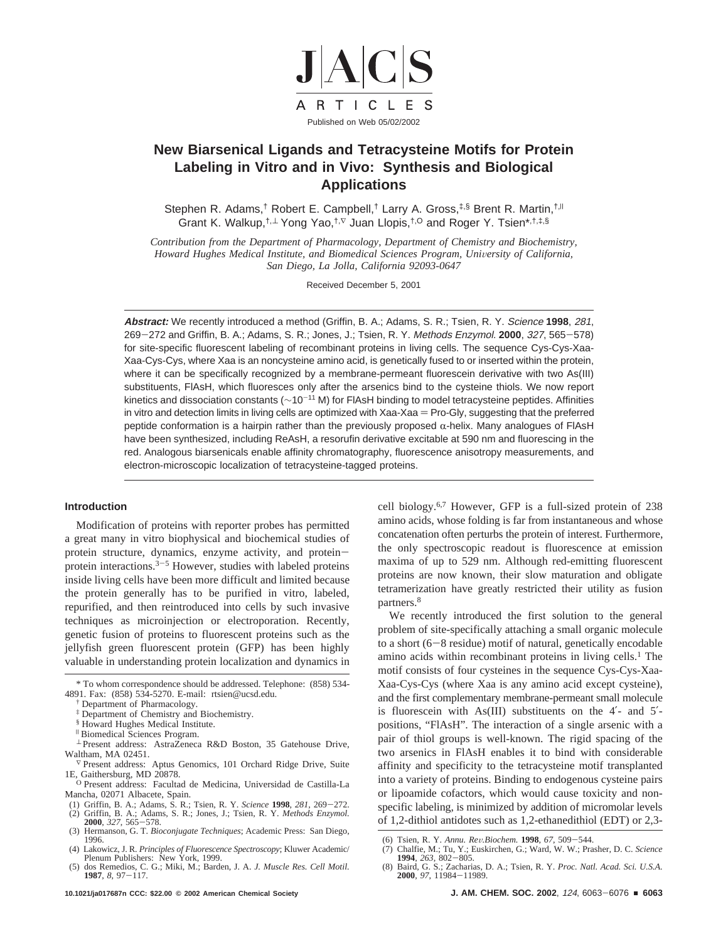

# **New Biarsenical Ligands and Tetracysteine Motifs for Protein Labeling in Vitro and in Vivo: Synthesis and Biological Applications**

Stephen R. Adams,<sup>†</sup> Robert E. Campbell,<sup>†</sup> Larry A. Gross,<sup>‡,§</sup> Brent R. Martin,<sup>†, ||</sup> Grant K. Walkup,<sup>†,⊥</sup> Yong Yao,<sup>†,⊽</sup> Juan Llopis,<sup>†,O</sup> and Roger Y. Tsien\*,<sup>†,‡,§</sup>

*Contribution from the Department of Pharmacology, Department of Chemistry and Biochemistry, Howard Hughes Medical Institute, and Biomedical Sciences Program, University of California, San Diego, La Jolla, California 92093-0647*

Received December 5, 2001

**Abstract:** We recently introduced a method (Griffin, B. A.; Adams, S. R.; Tsien, R. Y. Science **1998**, 281, <sup>269</sup>-272 and Griffin, B. A.; Adams, S. R.; Jones, J.; Tsien, R. Y. Methods Enzymol. **<sup>2000</sup>**, <sup>327</sup>, 565-578) for site-specific fluorescent labeling of recombinant proteins in living cells. The sequence Cys-Cys-Xaa-Xaa-Cys-Cys, where Xaa is an noncysteine amino acid, is genetically fused to or inserted within the protein, where it can be specifically recognized by a membrane-permeant fluorescein derivative with two As(III) substituents, FlAsH, which fluoresces only after the arsenics bind to the cysteine thiols. We now report kinetics and dissociation constants (~10<sup>-11</sup> M) for FlAsH binding to model tetracysteine peptides. Affinities in vitro and detection limits in living cells are optimized with Xaa-Xaa = Pro-Gly, suggesting that the preferred peptide conformation is a hairpin rather than the previously proposed  $\alpha$ -helix. Many analogues of FIAsH have been synthesized, including ReAsH, a resorufin derivative excitable at 590 nm and fluorescing in the red. Analogous biarsenicals enable affinity chromatography, fluorescence anisotropy measurements, and electron-microscopic localization of tetracysteine-tagged proteins.

## **Introduction**

Modification of proteins with reporter probes has permitted a great many in vitro biophysical and biochemical studies of protein structure, dynamics, enzyme activity, and proteinprotein interactions. $3-5$  However, studies with labeled proteins inside living cells have been more difficult and limited because the protein generally has to be purified in vitro, labeled, repurified, and then reintroduced into cells by such invasive techniques as microinjection or electroporation. Recently, genetic fusion of proteins to fluorescent proteins such as the jellyfish green fluorescent protein (GFP) has been highly valuable in understanding protein localization and dynamics in

- † Department of Pharmacology.
- ‡ Department of Chemistry and Biochemistry.
- § Howard Hughes Medical Institute.
- <sup>|</sup> Biomedical Sciences Program.
- <sup>⊥</sup> Present address: AstraZeneca R&D Boston, 35 Gatehouse Drive, Waltham, MA 02451.
- <sup>∇</sup> Present address: Aptus Genomics, 101 Orchard Ridge Drive, Suite 1E, Gaithersburg, MD 20878.
- <sup>Ã</sup> Present address: Facultad de Medicina, Universidad de Castilla-La Mancha, 02071 Albacete, Spain.
- 
- (1) Griffin, B. A.; Adams, S. R.; Tsien, R. Y. *Science* **1998**, 281, 269–272.<br>
(2) Griffin, B. A.; Adams, S. R.; Jones, J.; Tsien, R. Y. *Methods Enzymol.*<br> **2000**, 327, 565–578.<br>
(3) Hermanson. G. T. *Bioconiweate Techni* (3) Hermanson, G. T. *Bioconjugate Techniques*; Academic Press: San Diego,
- 1996.
- (4) Lakowicz, J. R. *Principles of Fluorescence Spectroscopy*; Kluwer Academic/ Plenum Publishers: New York, 1999.
- (5) dos Remedios, C. G.; Miki, M.; Barden, J. A. *J. Muscle Res. Cell Motil.* **<sup>1987</sup>**, *<sup>8</sup>*, 97-117.

cell biology.6,7 However, GFP is a full-sized protein of 238 amino acids, whose folding is far from instantaneous and whose concatenation often perturbs the protein of interest. Furthermore, the only spectroscopic readout is fluorescence at emission maxima of up to 529 nm. Although red-emitting fluorescent proteins are now known, their slow maturation and obligate tetramerization have greatly restricted their utility as fusion partners.8

We recently introduced the first solution to the general problem of site-specifically attaching a small organic molecule to a short (6-8 residue) motif of natural, genetically encodable amino acids within recombinant proteins in living cells.<sup>1</sup> The motif consists of four cysteines in the sequence Cys-Cys-Xaa-Xaa-Cys-Cys (where Xaa is any amino acid except cysteine), and the first complementary membrane-permeant small molecule is fluorescein with As(III) substituents on the 4′- and 5′ positions, "FlAsH". The interaction of a single arsenic with a pair of thiol groups is well-known. The rigid spacing of the two arsenics in FlAsH enables it to bind with considerable affinity and specificity to the tetracysteine motif transplanted into a variety of proteins. Binding to endogenous cysteine pairs or lipoamide cofactors, which would cause toxicity and nonspecific labeling, is minimized by addition of micromolar levels of 1,2-dithiol antidotes such as 1,2-ethanedithiol (EDT) or 2,3-

<sup>\*</sup> To whom correspondence should be addressed. Telephone: (858) 534- 4891. Fax: (858) 534-5270. E-mail: rtsien@ucsd.edu.

<sup>(6)</sup> Tsien, R. Y. *Annu. Re*V*.Biochem.* **<sup>1998</sup>**, *<sup>67</sup>*, 509-544.

<sup>(7)</sup> Chalfie, M.; Tu, Y.; Euskirchen, G.; Ward, W. W.; Prasher, D. C. *Science* **<sup>1994</sup>**, *<sup>263</sup>*, 802-805. (8) Baird, G. S.; Zacharias, D. A.; Tsien, R. Y. *Proc. Natl. Acad. Sci. U.S.A.*

**<sup>2000</sup>**, 97, 11984–11989.<br>**J. AM. CHEM. SOC. 2002**, 124, 6063–6076 ■ 6063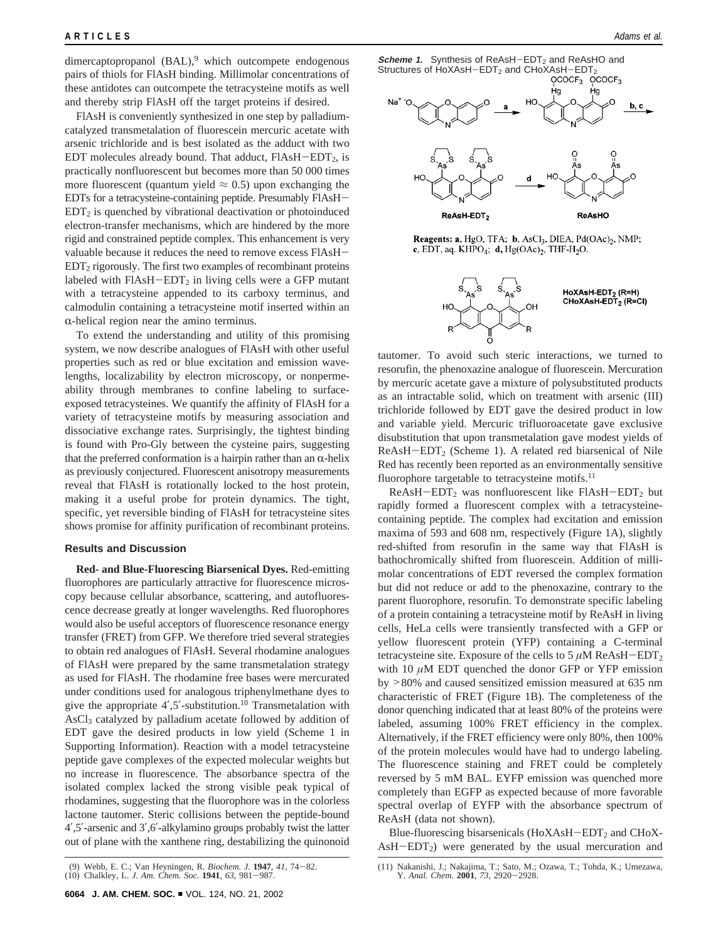dimercaptopropanol  $(BAL)$ ,<sup>9</sup> which outcompete endogenous pairs of thiols for FlAsH binding. Millimolar concentrations of these antidotes can outcompete the tetracysteine motifs as well and thereby strip FlAsH off the target proteins if desired.

FlAsH is conveniently synthesized in one step by palladiumcatalyzed transmetalation of fluorescein mercuric acetate with arsenic trichloride and is best isolated as the adduct with two EDT molecules already bound. That adduct,  $FIASH-EDT<sub>2</sub>$ , is practically nonfluorescent but becomes more than 50 000 times more fluorescent (quantum yield  $\approx 0.5$ ) upon exchanging the EDTs for a tetracysteine-containing peptide. Presumably FlAsH- $EDT<sub>2</sub>$  is quenched by vibrational deactivation or photoinduced electron-transfer mechanisms, which are hindered by the more rigid and constrained peptide complex. This enhancement is very valuable because it reduces the need to remove excess FlAsH- $EDT<sub>2</sub>$  rigorously. The first two examples of recombinant proteins labeled with  $FIAsH-EDT<sub>2</sub>$  in living cells were a GFP mutant with a tetracysteine appended to its carboxy terminus, and calmodulin containing a tetracysteine motif inserted within an  $\alpha$ -helical region near the amino terminus.

To extend the understanding and utility of this promising system, we now describe analogues of FlAsH with other useful properties such as red or blue excitation and emission wavelengths, localizability by electron microscopy, or nonpermeability through membranes to confine labeling to surfaceexposed tetracysteines. We quantify the affinity of FlAsH for a variety of tetracysteine motifs by measuring association and dissociative exchange rates. Surprisingly, the tightest binding is found with Pro-Gly between the cysteine pairs, suggesting that the preferred conformation is a hairpin rather than an  $\alpha$ -helix as previously conjectured. Fluorescent anisotropy measurements reveal that FlAsH is rotationally locked to the host protein, making it a useful probe for protein dynamics. The tight, specific, yet reversible binding of FlAsH for tetracysteine sites shows promise for affinity purification of recombinant proteins.

## **Results and Discussion**

**Red- and Blue-Fluorescing Biarsenical Dyes.** Red-emitting fluorophores are particularly attractive for fluorescence microscopy because cellular absorbance, scattering, and autofluorescence decrease greatly at longer wavelengths. Red fluorophores would also be useful acceptors of fluorescence resonance energy transfer (FRET) from GFP. We therefore tried several strategies to obtain red analogues of FlAsH. Several rhodamine analogues of FlAsH were prepared by the same transmetalation strategy as used for FlAsH. The rhodamine free bases were mercurated under conditions used for analogous triphenylmethane dyes to give the appropriate  $4'$ , 5′-substitution.<sup>10</sup> Transmetalation with AsCl<sub>3</sub> catalyzed by palladium acetate followed by addition of EDT gave the desired products in low yield (Scheme 1 in Supporting Information). Reaction with a model tetracysteine peptide gave complexes of the expected molecular weights but no increase in fluorescence. The absorbance spectra of the isolated complex lacked the strong visible peak typical of rhodamines, suggesting that the fluorophore was in the colorless lactone tautomer. Steric collisions between the peptide-bound 4′,5′-arsenic and 3′,6′-alkylamino groups probably twist the latter out of plane with the xanthene ring, destabilizing the quinonoid





Reagents: a, HgO, TFA; b, AsCl<sub>3</sub>, DIEA, Pd(OAc)<sub>2</sub>, NMP; c, EDT, aq. KHPO<sub>4</sub>; d, Hg(OAc)<sub>2</sub>, THF-H<sub>2</sub>O.



tautomer. To avoid such steric interactions, we turned to resorufin, the phenoxazine analogue of fluorescein. Mercuration by mercuric acetate gave a mixture of polysubstituted products as an intractable solid, which on treatment with arsenic (III) trichloride followed by EDT gave the desired product in low and variable yield. Mercuric trifluoroacetate gave exclusive disubstitution that upon transmetalation gave modest yields of  $ReAsH-EDT<sub>2</sub>$  (Scheme 1). A related red biarsenical of Nile Red has recently been reported as an environmentally sensitive fluorophore targetable to tetracysteine motifs.<sup>11</sup>

 $ReAsH-EDT<sub>2</sub>$  was nonfluorescent like FlAsH-EDT<sub>2</sub> but rapidly formed a fluorescent complex with a tetracysteinecontaining peptide. The complex had excitation and emission maxima of 593 and 608 nm, respectively (Figure 1A), slightly red-shifted from resorufin in the same way that FlAsH is bathochromically shifted from fluorescein. Addition of millimolar concentrations of EDT reversed the complex formation but did not reduce or add to the phenoxazine, contrary to the parent fluorophore, resorufin. To demonstrate specific labeling of a protein containing a tetracysteine motif by ReAsH in living cells, HeLa cells were transiently transfected with a GFP or yellow fluorescent protein (YFP) containing a C-terminal tetracysteine site. Exposure of the cells to  $5 \mu M$  ReAsH-EDT<sub>2</sub> with 10 *µ*M EDT quenched the donor GFP or YFP emission by >80% and caused sensitized emission measured at 635 nm characteristic of FRET (Figure 1B). The completeness of the donor quenching indicated that at least 80% of the proteins were labeled, assuming 100% FRET efficiency in the complex. Alternatively, if the FRET efficiency were only 80%, then 100% of the protein molecules would have had to undergo labeling. The fluorescence staining and FRET could be completely reversed by 5 mM BAL. EYFP emission was quenched more completely than EGFP as expected because of more favorable spectral overlap of EYFP with the absorbance spectrum of ReAsH (data not shown).

Blue-fluorescing bisarsenicals  $(HoXAsH-EDT<sub>2</sub>$  and CHoX- $\text{AsH-EDT}_2$ ) were generated by the usual mercuration and

<sup>(9)</sup> Webb, E. C.; Van Heyningen, R. *Biochem. J.* **<sup>1947</sup>**, *<sup>41</sup>*, 74-82. (10) Chalkley, L. *J. Am. Chem. Soc.* **<sup>1941</sup>**, *<sup>63</sup>*, 981-987.

<sup>(11)</sup> Nakanishi, J.; Nakajima, T.; Sato, M.; Ozawa, T.; Tohda, K.; Umezawa, Y. *Anal. Chem.* **<sup>2001</sup>**, *<sup>73</sup>*, 2920-2928.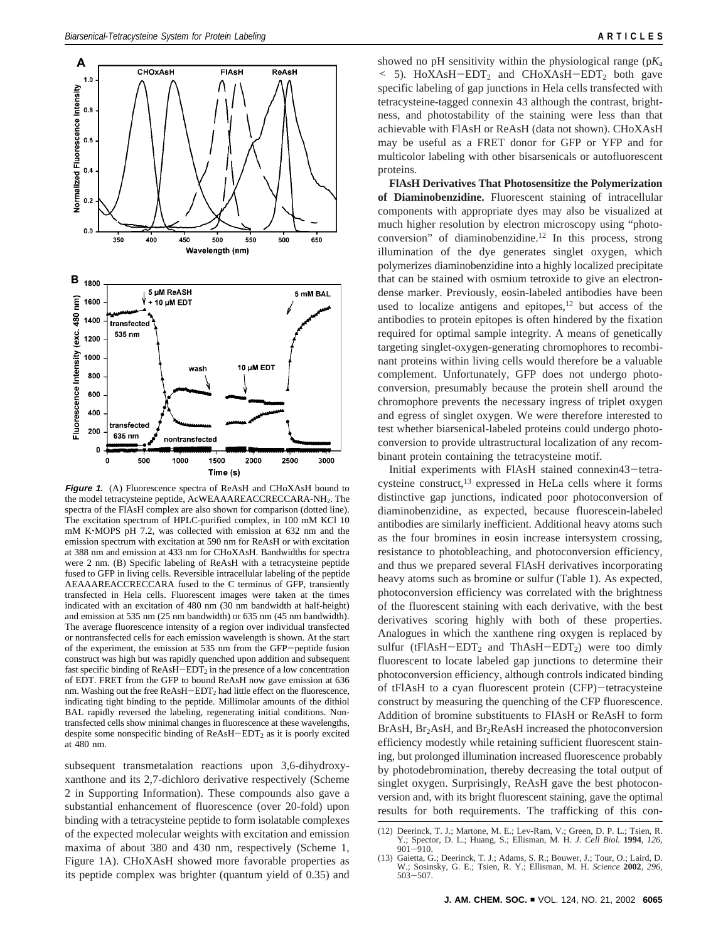

**Figure 1.** (A) Fluorescence spectra of ReAsH and CHoXAsH bound to the model tetracysteine peptide, AcWEAAAREACCRECCARA-NH2. The spectra of the FlAsH complex are also shown for comparison (dotted line). The excitation spectrum of HPLC-purified complex, in 100 mM KCl 10 mM K'MOPS pH 7.2, was collected with emission at 632 nm and the emission spectrum with excitation at 590 nm for ReAsH or with excitation at 388 nm and emission at 433 nm for CHoXAsH. Bandwidths for spectra were 2 nm. (B) Specific labeling of ReAsH with a tetracysteine peptide fused to GFP in living cells. Reversible intracellular labeling of the peptide AEAAAREACCRECCARA fused to the C terminus of GFP, transiently transfected in Hela cells. Fluorescent images were taken at the times indicated with an excitation of 480 nm (30 nm bandwidth at half-height) and emission at 535 nm (25 nm bandwidth) or 635 nm (45 nm bandwidth). The average fluorescence intensity of a region over individual transfected or nontransfected cells for each emission wavelength is shown. At the start of the experiment, the emission at 535 nm from the GFP-peptide fusion construct was high but was rapidly quenched upon addition and subsequent fast specific binding of  $ReAsH-EDT<sub>2</sub>$  in the presence of a low concentration of EDT. FRET from the GFP to bound ReAsH now gave emission at 636 nm. Washing out the free ReAsH-EDT<sub>2</sub> had little effect on the fluorescence, indicating tight binding to the peptide. Millimolar amounts of the dithiol BAL rapidly reversed the labeling, regenerating initial conditions. Nontransfected cells show minimal changes in fluorescence at these wavelengths, despite some nonspecific binding of  $ReAsH-EDT<sub>2</sub>$  as it is poorly excited at 480 nm.

subsequent transmetalation reactions upon 3,6-dihydroxyxanthone and its 2,7-dichloro derivative respectively (Scheme 2 in Supporting Information). These compounds also gave a substantial enhancement of fluorescence (over 20-fold) upon binding with a tetracysteine peptide to form isolatable complexes of the expected molecular weights with excitation and emission maxima of about 380 and 430 nm, respectively (Scheme 1, Figure 1A). CHoXAsH showed more favorable properties as its peptide complex was brighter (quantum yield of 0.35) and

showed no pH sensitivity within the physiological range (p*K*<sup>a</sup>  $\leq$  5). HoXAsH-EDT<sub>2</sub> and CHoXAsH-EDT<sub>2</sub> both gave specific labeling of gap junctions in Hela cells transfected with tetracysteine-tagged connexin 43 although the contrast, brightness, and photostability of the staining were less than that achievable with FlAsH or ReAsH (data not shown). CHoXAsH may be useful as a FRET donor for GFP or YFP and for multicolor labeling with other bisarsenicals or autofluorescent proteins.

**FlAsH Derivatives That Photosensitize the Polymerization of Diaminobenzidine.** Fluorescent staining of intracellular components with appropriate dyes may also be visualized at much higher resolution by electron microscopy using "photoconversion" of diaminobenzidine.<sup>12</sup> In this process, strong illumination of the dye generates singlet oxygen, which polymerizes diaminobenzidine into a highly localized precipitate that can be stained with osmium tetroxide to give an electrondense marker. Previously, eosin-labeled antibodies have been used to localize antigens and epitopes, $12$  but access of the antibodies to protein epitopes is often hindered by the fixation required for optimal sample integrity. A means of genetically targeting singlet-oxygen-generating chromophores to recombinant proteins within living cells would therefore be a valuable complement. Unfortunately, GFP does not undergo photoconversion, presumably because the protein shell around the chromophore prevents the necessary ingress of triplet oxygen and egress of singlet oxygen. We were therefore interested to test whether biarsenical-labeled proteins could undergo photoconversion to provide ultrastructural localization of any recombinant protein containing the tetracysteine motif.

Initial experiments with FlAsH stained connexin43-tetracysteine construct,13 expressed in HeLa cells where it forms distinctive gap junctions, indicated poor photoconversion of diaminobenzidine, as expected, because fluorescein-labeled antibodies are similarly inefficient. Additional heavy atoms such as the four bromines in eosin increase intersystem crossing, resistance to photobleaching, and photoconversion efficiency, and thus we prepared several FlAsH derivatives incorporating heavy atoms such as bromine or sulfur (Table 1). As expected, photoconversion efficiency was correlated with the brightness of the fluorescent staining with each derivative, with the best derivatives scoring highly with both of these properties. Analogues in which the xanthene ring oxygen is replaced by sulfur (tFlAsH-EDT<sub>2</sub> and ThAsH-EDT<sub>2</sub>) were too dimly fluorescent to locate labeled gap junctions to determine their photoconversion efficiency, although controls indicated binding of tFlAsH to a cyan fluorescent protein (CFP)-tetracysteine construct by measuring the quenching of the CFP fluorescence. Addition of bromine substituents to FlAsH or ReAsH to form  $BrAsH, Br<sub>2</sub>AsH, and Br<sub>2</sub>ReAsH increased the photoconversion$ efficiency modestly while retaining sufficient fluorescent staining, but prolonged illumination increased fluorescence probably by photodebromination, thereby decreasing the total output of singlet oxygen. Surprisingly, ReAsH gave the best photoconversion and, with its bright fluorescent staining, gave the optimal results for both requirements. The trafficking of this con-

<sup>(12)</sup> Deerinck, T. J.; Martone, M. E.; Lev-Ram, V.; Green, D. P. L.; Tsien, R. Y.; Spector, D. L.; Huang, S.; Ellisman, M. H. *J. Cell Biol.* **<sup>1994</sup>**, *<sup>126</sup>*, <sup>901</sup>-910.

<sup>(13)</sup> Gaietta, G.; Deerinck, T. J.; Adams, S. R.; Bouwer, J.; Tour, O.; Laird, D. W.; Sosinsky, G. E.; Tsien, R. Y.; Ellisman, M. H. *Science* **2002**, *296*, <sup>503</sup>-507.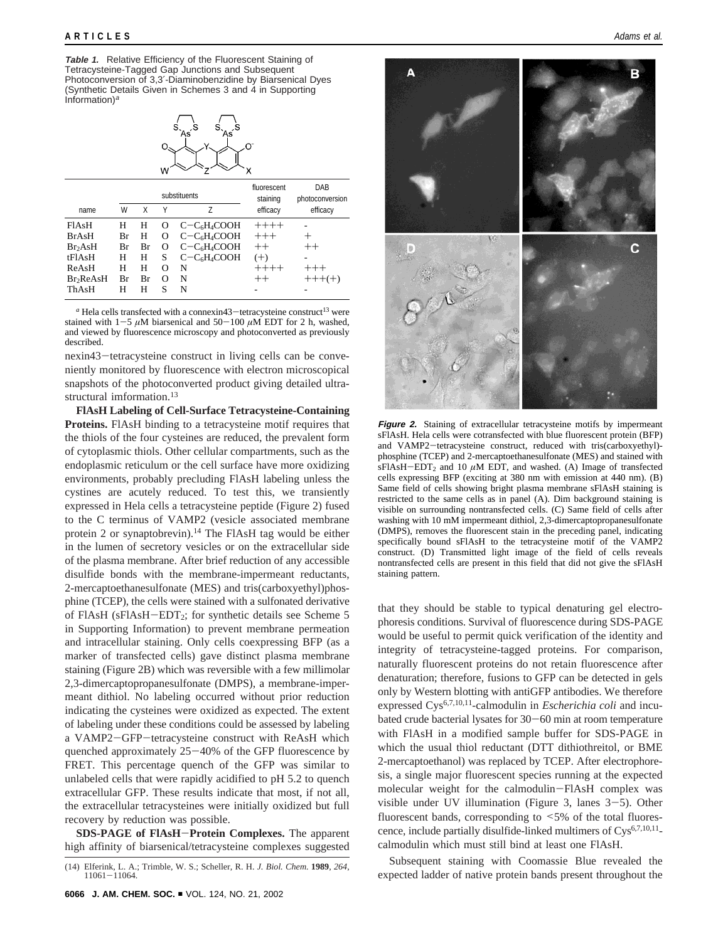**Table 1.** Relative Efficiency of the Fluorescent Staining of Tetracysteine-Tagged Gap Junctions and Subsequent Photoconversion of 3,3′-Diaminobenzidine by Biarsenical Dyes (Synthetic Details Given in Schemes 3 and 4 in Supporting Information) $a$ 



|                       |    |    |                   | substituents | fluorescent<br>staining | DAB<br>photoconversion |  |
|-----------------------|----|----|-------------------|--------------|-------------------------|------------------------|--|
| name                  | W  | χ  | γ                 | Z            | efficacy                | efficacy               |  |
| FIA <sub>s</sub> H    | Н  | Н  | $\mathbf{\Omega}$ | $C-C6H4COOH$ | $+++++$                 |                        |  |
| <b>BrAsH</b>          | Вr | Н  | O                 | $C-C6H4COOH$ | $+++$                   |                        |  |
| Br <sub>2</sub> AsH   | Вr | Br | O                 | $C-C6H4COOH$ | $^{++}$                 | $^{++}$                |  |
| tFlAsH                | н  | Н  | S                 | $C-C6H4COOH$ | $^{(+)}$                |                        |  |
| ReAsH                 | н  | Н  | O                 | N            | $+++++$                 | $+++$                  |  |
| Br <sub>2</sub> ReAsH | Вr | Br | Ω                 | N            | $^{++}$                 | $+++(+)$               |  |
| ThAsH                 | н  | н  | S                 | N            |                         |                        |  |

 $a$  Hela cells transfected with a connexin43-tetracysteine construct<sup>13</sup> were stained with  $1-5 \mu M$  biarsenical and  $50-100 \mu M$  EDT for 2 h, washed, and viewed by fluorescence microscopy and photoconverted as previously described.

nexin43-tetracysteine construct in living cells can be conveniently monitored by fluorescence with electron microscopical snapshots of the photoconverted product giving detailed ultrastructural imformation.<sup>13</sup>

**FlAsH Labeling of Cell-Surface Tetracysteine-Containing Proteins.** FlAsH binding to a tetracysteine motif requires that the thiols of the four cysteines are reduced, the prevalent form of cytoplasmic thiols. Other cellular compartments, such as the endoplasmic reticulum or the cell surface have more oxidizing environments, probably precluding FlAsH labeling unless the cystines are acutely reduced. To test this, we transiently expressed in Hela cells a tetracysteine peptide (Figure 2) fused to the C terminus of VAMP2 (vesicle associated membrane protein 2 or synaptobrevin).<sup>14</sup> The FlAsH tag would be either in the lumen of secretory vesicles or on the extracellular side of the plasma membrane. After brief reduction of any accessible disulfide bonds with the membrane-impermeant reductants, 2-mercaptoethanesulfonate (MES) and tris(carboxyethyl)phosphine (TCEP), the cells were stained with a sulfonated derivative of FlAsH (sFlAsH-EDT2; for synthetic details see Scheme 5 in Supporting Information) to prevent membrane permeation and intracellular staining. Only cells coexpressing BFP (as a marker of transfected cells) gave distinct plasma membrane staining (Figure 2B) which was reversible with a few millimolar 2,3-dimercaptopropanesulfonate (DMPS), a membrane-impermeant dithiol. No labeling occurred without prior reduction indicating the cysteines were oxidized as expected. The extent of labeling under these conditions could be assessed by labeling a VAMP2-GFP-tetracysteine construct with ReAsH which quenched approximately 25-40% of the GFP fluorescence by FRET. This percentage quench of the GFP was similar to unlabeled cells that were rapidly acidified to pH 5.2 to quench extracellular GFP. These results indicate that most, if not all, the extracellular tetracysteines were initially oxidized but full recovery by reduction was possible.

**SDS-PAGE of FlAsH**-**Protein Complexes.** The apparent high affinity of biarsenical/tetracysteine complexes suggested



**Figure 2.** Staining of extracellular tetracysteine motifs by impermeant sFlAsH. Hela cells were cotransfected with blue fluorescent protein (BFP) and VAMP2-tetracysteine construct, reduced with tris(carboxyethyl) phosphine (TCEP) and 2-mercaptoethanesulfonate (MES) and stained with  $sFIAsH-EDT<sub>2</sub>$  and 10  $\mu$ M EDT, and washed. (A) Image of transfected cells expressing BFP (exciting at 380 nm with emission at 440 nm). (B) Same field of cells showing bright plasma membrane sFlAsH staining is restricted to the same cells as in panel (A). Dim background staining is visible on surrounding nontransfected cells. (C) Same field of cells after washing with 10 mM impermeant dithiol, 2,3-dimercaptopropanesulfonate (DMPS), removes the fluorescent stain in the preceding panel, indicating specifically bound sFlAsH to the tetracysteine motif of the VAMP2 construct. (D) Transmitted light image of the field of cells reveals nontransfected cells are present in this field that did not give the sFlAsH staining pattern.

that they should be stable to typical denaturing gel electrophoresis conditions. Survival of fluorescence during SDS-PAGE would be useful to permit quick verification of the identity and integrity of tetracysteine-tagged proteins. For comparison, naturally fluorescent proteins do not retain fluorescence after denaturation; therefore, fusions to GFP can be detected in gels only by Western blotting with antiGFP antibodies. We therefore expressed Cys6,7,10,11-calmodulin in *Escherichia coli* and incubated crude bacterial lysates for 30-60 min at room temperature with FlAsH in a modified sample buffer for SDS-PAGE in which the usual thiol reductant (DTT dithiothreitol, or BME 2-mercaptoethanol) was replaced by TCEP. After electrophoresis, a single major fluorescent species running at the expected molecular weight for the calmodulin-FlAsH complex was visible under UV illumination (Figure 3, lanes 3-5). Other fluorescent bands, corresponding to <5% of the total fluorescence, include partially disulfide-linked multimers of  $Cys^{6,7,10,11}$ calmodulin which must still bind at least one FlAsH.

Subsequent staining with Coomassie Blue revealed the expected ladder of native protein bands present throughout the (14) Elferink, L. A.; Trimble, W. S.; Scheller, R. H. *J. Biol. Chem.* **<sup>1989</sup>**, *<sup>264</sup>*, <sup>11061</sup>-11064.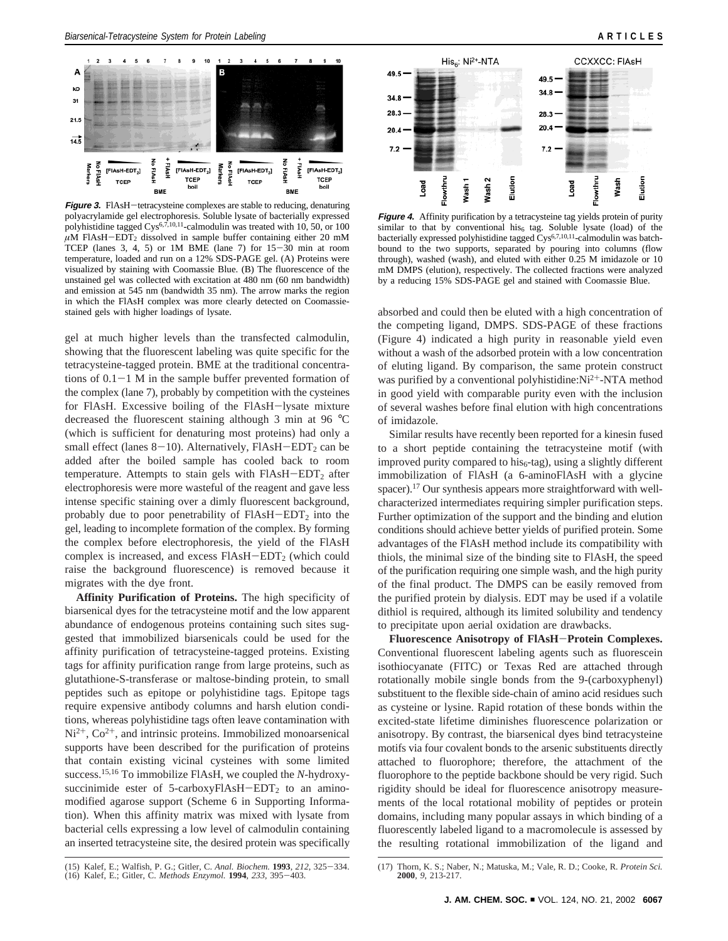A

kD

 $31$ 

 $21.5$ 



**Figure 3.** FlAsH-tetracysteine complexes are stable to reducing, denaturing polyacrylamide gel electrophoresis. Soluble lysate of bacterially expressed polyhistidine tagged Cys<sup>6,7,10,11</sup>-calmodulin was treated with 10, 50, or 100  $\mu$ M FlAsH-EDT<sub>2</sub> dissolved in sample buffer containing either 20 mM TCEP (lanes 3, 4, 5) or 1M BME (lane 7) for 15-30 min at room temperature, loaded and run on a 12% SDS-PAGE gel. (A) Proteins were visualized by staining with Coomassie Blue. (B) The fluorescence of the unstained gel was collected with excitation at 480 nm (60 nm bandwidth) and emission at 545 nm (bandwidth 35 nm). The arrow marks the region in which the FlAsH complex was more clearly detected on Coomassiestained gels with higher loadings of lysate.

gel at much higher levels than the transfected calmodulin, showing that the fluorescent labeling was quite specific for the tetracysteine-tagged protein. BME at the traditional concentrations of  $0.1-1$  M in the sample buffer prevented formation of the complex (lane 7), probably by competition with the cysteines for FlAsH. Excessive boiling of the FlAsH-lysate mixture decreased the fluorescent staining although 3 min at 96 °C (which is sufficient for denaturing most proteins) had only a small effect (lanes  $8-10$ ). Alternatively, FIAsH-EDT<sub>2</sub> can be added after the boiled sample has cooled back to room temperature. Attempts to stain gels with  $FIAsH-EDT<sub>2</sub>$  after electrophoresis were more wasteful of the reagent and gave less intense specific staining over a dimly fluorescent background, probably due to poor penetrability of  $FIASH-EDT<sub>2</sub>$  into the gel, leading to incomplete formation of the complex. By forming the complex before electrophoresis, the yield of the FlAsH complex is increased, and excess  $FIASH-EDT<sub>2</sub>$  (which could raise the background fluorescence) is removed because it migrates with the dye front.

**Affinity Purification of Proteins.** The high specificity of biarsenical dyes for the tetracysteine motif and the low apparent abundance of endogenous proteins containing such sites suggested that immobilized biarsenicals could be used for the affinity purification of tetracysteine-tagged proteins. Existing tags for affinity purification range from large proteins, such as glutathione-S-transferase or maltose-binding protein, to small peptides such as epitope or polyhistidine tags. Epitope tags require expensive antibody columns and harsh elution conditions, whereas polyhistidine tags often leave contamination with  $Ni<sup>2+</sup>, Co<sup>2+</sup>, and intrinsic proteins. Immunobilized monoarsenical$ supports have been described for the purification of proteins that contain existing vicinal cysteines with some limited success.15,16 To immobilize FlAsH, we coupled the *N*-hydroxysuccinimide ester of  $5$ -carboxyFlAsH-EDT<sub>2</sub> to an aminomodified agarose support (Scheme 6 in Supporting Information). When this affinity matrix was mixed with lysate from bacterial cells expressing a low level of calmodulin containing an inserted tetracysteine site, the desired protein was specifically



**Figure 4.** Affinity purification by a tetracysteine tag yields protein of purity similar to that by conventional his<sub>6</sub> tag. Soluble lysate (load) of the bacterially expressed polyhistidine tagged  $\text{Cys}^{6,7,10,11}$ -calmodulin was batchbound to the two supports, separated by pouring into columns (flow through), washed (wash), and eluted with either 0.25 M imidazole or 10 mM DMPS (elution), respectively. The collected fractions were analyzed by a reducing 15% SDS-PAGE gel and stained with Coomassie Blue.

absorbed and could then be eluted with a high concentration of the competing ligand, DMPS. SDS-PAGE of these fractions (Figure 4) indicated a high purity in reasonable yield even without a wash of the adsorbed protein with a low concentration of eluting ligand. By comparison, the same protein construct was purified by a conventional polyhistidine:Ni<sup>2+</sup>-NTA method in good yield with comparable purity even with the inclusion of several washes before final elution with high concentrations of imidazole.

Similar results have recently been reported for a kinesin fused to a short peptide containing the tetracysteine motif (with improved purity compared to his $<sub>6</sub>$ -tag), using a slightly different</sub> immobilization of FlAsH (a 6-aminoFlAsH with a glycine spacer).<sup>17</sup> Our synthesis appears more straightforward with wellcharacterized intermediates requiring simpler purification steps. Further optimization of the support and the binding and elution conditions should achieve better yields of purified protein. Some advantages of the FlAsH method include its compatibility with thiols, the minimal size of the binding site to FlAsH, the speed of the purification requiring one simple wash, and the high purity of the final product. The DMPS can be easily removed from the purified protein by dialysis. EDT may be used if a volatile dithiol is required, although its limited solubility and tendency to precipitate upon aerial oxidation are drawbacks.

**Fluorescence Anisotropy of FlAsH**-**Protein Complexes.** Conventional fluorescent labeling agents such as fluorescein isothiocyanate (FITC) or Texas Red are attached through rotationally mobile single bonds from the 9-(carboxyphenyl) substituent to the flexible side-chain of amino acid residues such as cysteine or lysine. Rapid rotation of these bonds within the excited-state lifetime diminishes fluorescence polarization or anisotropy. By contrast, the biarsenical dyes bind tetracysteine motifs via four covalent bonds to the arsenic substituents directly attached to fluorophore; therefore, the attachment of the fluorophore to the peptide backbone should be very rigid. Such rigidity should be ideal for fluorescence anisotropy measurements of the local rotational mobility of peptides or protein domains, including many popular assays in which binding of a fluorescently labeled ligand to a macromolecule is assessed by the resulting rotational immobilization of the ligand and

<sup>(17)</sup> Thorn, K. S.; Naber, N.; Matuska, M.; Vale, R. D.; Cooke, R. *Protein Sci.* **2000**, *9*, 213-217.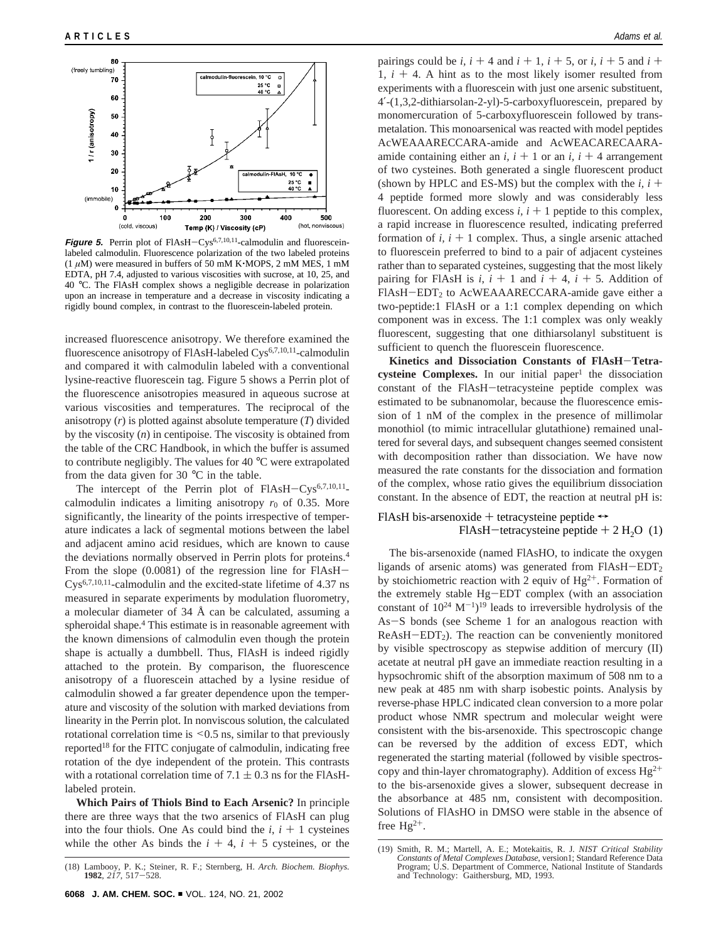

**Figure 5.** Perrin plot of FlAsH-Cys<sup>6,7,10,11</sup>-calmodulin and fluoresceinlabeled calmodulin. Fluorescence polarization of the two labeled proteins  $(1 \mu M)$  were measured in buffers of 50 mM K $\cdot$ MOPS, 2 mM MES, 1 mM EDTA, pH 7.4, adjusted to various viscosities with sucrose, at 10, 25, and 40 °C. The FlAsH complex shows a negligible decrease in polarization upon an increase in temperature and a decrease in viscosity indicating a rigidly bound complex, in contrast to the fluorescein-labeled protein.

increased fluorescence anisotropy. We therefore examined the fluorescence anisotropy of FlAsH-labeled Cys<sup>6,7,10,11</sup>-calmodulin and compared it with calmodulin labeled with a conventional lysine-reactive fluorescein tag. Figure 5 shows a Perrin plot of the fluorescence anisotropies measured in aqueous sucrose at various viscosities and temperatures. The reciprocal of the anisotropy (*r*) is plotted against absolute temperature (*T*) divided by the viscosity (*n*) in centipoise. The viscosity is obtained from the table of the CRC Handbook, in which the buffer is assumed to contribute negligibly. The values for 40 °C were extrapolated from the data given for 30  $^{\circ}$ C in the table.

The intercept of the Perrin plot of FlAsH-Cys<sup>6,7,10,11</sup>calmodulin indicates a limiting anisotropy  $r_0$  of 0.35. More significantly, the linearity of the points irrespective of temperature indicates a lack of segmental motions between the label and adjacent amino acid residues, which are known to cause the deviations normally observed in Perrin plots for proteins.4 From the slope (0.0081) of the regression line for FlAsH-Cys6,7,10,11-calmodulin and the excited-state lifetime of 4.37 ns measured in separate experiments by modulation fluorometry, a molecular diameter of 34 Å can be calculated, assuming a spheroidal shape.<sup>4</sup> This estimate is in reasonable agreement with the known dimensions of calmodulin even though the protein shape is actually a dumbbell. Thus, FlAsH is indeed rigidly attached to the protein. By comparison, the fluorescence anisotropy of a fluorescein attached by a lysine residue of calmodulin showed a far greater dependence upon the temperature and viscosity of the solution with marked deviations from linearity in the Perrin plot. In nonviscous solution, the calculated rotational correlation time is  $\leq 0.5$  ns, similar to that previously reported18 for the FITC conjugate of calmodulin, indicating free rotation of the dye independent of the protein. This contrasts with a rotational correlation time of  $7.1 \pm 0.3$  ns for the FlAsHlabeled protein.

**Which Pairs of Thiols Bind to Each Arsenic?** In principle there are three ways that the two arsenics of FlAsH can plug into the four thiols. One As could bind the  $i$ ,  $i + 1$  cysteines while the other As binds the  $i + 4$ ,  $i + 5$  cysteines, or the

pairings could be *i*,  $i + 4$  and  $i + 1$ ,  $i + 5$ , or *i*,  $i + 5$  and  $i +$ 1,  $i + 4$ . A hint as to the most likely isomer resulted from experiments with a fluorescein with just one arsenic substituent, 4′-(1,3,2-dithiarsolan-2-yl)-5-carboxyfluorescein, prepared by monomercuration of 5-carboxyfluorescein followed by transmetalation. This monoarsenical was reacted with model peptides AcWEAAARECCARA-amide and AcWEACARECAARAamide containing either an  $i$ ,  $i + 1$  or an  $i$ ,  $i + 4$  arrangement of two cysteines. Both generated a single fluorescent product (shown by HPLC and ES-MS) but the complex with the  $i$ ,  $i +$ 4 peptide formed more slowly and was considerably less fluorescent. On adding excess  $i$ ,  $i + 1$  peptide to this complex, a rapid increase in fluorescence resulted, indicating preferred formation of  $i$ ,  $i + 1$  complex. Thus, a single arsenic attached to fluorescein preferred to bind to a pair of adjacent cysteines rather than to separated cysteines, suggesting that the most likely pairing for FIAsH is  $i$ ,  $i + 1$  and  $i + 4$ ,  $i + 5$ . Addition of FlAsH-EDT<sub>2</sub> to AcWEAAARECCARA-amide gave either a two-peptide:1 FlAsH or a 1:1 complex depending on which component was in excess. The 1:1 complex was only weakly fluorescent, suggesting that one dithiarsolanyl substituent is sufficient to quench the fluorescein fluorescence.

**Kinetics and Dissociation Constants of FlAsH**-**Tetra-** $\alpha$ **cysteine Complexes.** In our initial paper<sup>1</sup> the dissociation constant of the FlAsH-tetracysteine peptide complex was estimated to be subnanomolar, because the fluorescence emission of 1 nM of the complex in the presence of millimolar monothiol (to mimic intracellular glutathione) remained unaltered for several days, and subsequent changes seemed consistent with decomposition rather than dissociation. We have now measured the rate constants for the dissociation and formation of the complex, whose ratio gives the equilibrium dissociation constant. In the absence of EDT, the reaction at neutral pH is:

# FlAsH bis-arsenoxide + tetracysteine peptide  $\leftrightarrow$ FlAsH-tetracysteine peptide  $+ 2$  H<sub>2</sub>O (1)

The bis-arsenoxide (named FlAsHO, to indicate the oxygen ligands of arsenic atoms) was generated from  $FIASH-EDT<sub>2</sub>$ by stoichiometric reaction with 2 equiv of  $Hg^{2+}$ . Formation of the extremely stable Hg-EDT complex (with an association constant of  $10^{24}$  M<sup>-1</sup>)<sup>19</sup> leads to irreversible hydrolysis of the As-S bonds (see Scheme 1 for an analogous reaction with  $ReAsH-EDT<sub>2</sub>$ ). The reaction can be conveniently monitored by visible spectroscopy as stepwise addition of mercury (II) acetate at neutral pH gave an immediate reaction resulting in a hypsochromic shift of the absorption maximum of 508 nm to a new peak at 485 nm with sharp isobestic points. Analysis by reverse-phase HPLC indicated clean conversion to a more polar product whose NMR spectrum and molecular weight were consistent with the bis-arsenoxide. This spectroscopic change can be reversed by the addition of excess EDT, which regenerated the starting material (followed by visible spectroscopy and thin-layer chromatography). Addition of excess  $Hg^{2+}$ to the bis-arsenoxide gives a slower, subsequent decrease in the absorbance at 485 nm, consistent with decomposition. Solutions of FlAsHO in DMSO were stable in the absence of free  $Hg^{2+}$ .

<sup>(18)</sup> Lambooy, P. K.; Steiner, R. F.; Sternberg, H. *Arch. Biochem. Biophys.* **<sup>1982</sup>**, *<sup>217</sup>*, 517-528.

<sup>(19)</sup> Smith, R. M.; Martell, A. E.; Motekaitis, R. J*. NIST Critical Stability Constants of Metal Complexes Database*, version1; Standard Reference Data Program; U.S. Department of Commerce, National Institute of Standards and Technology: Gaithersburg, MD, 1993.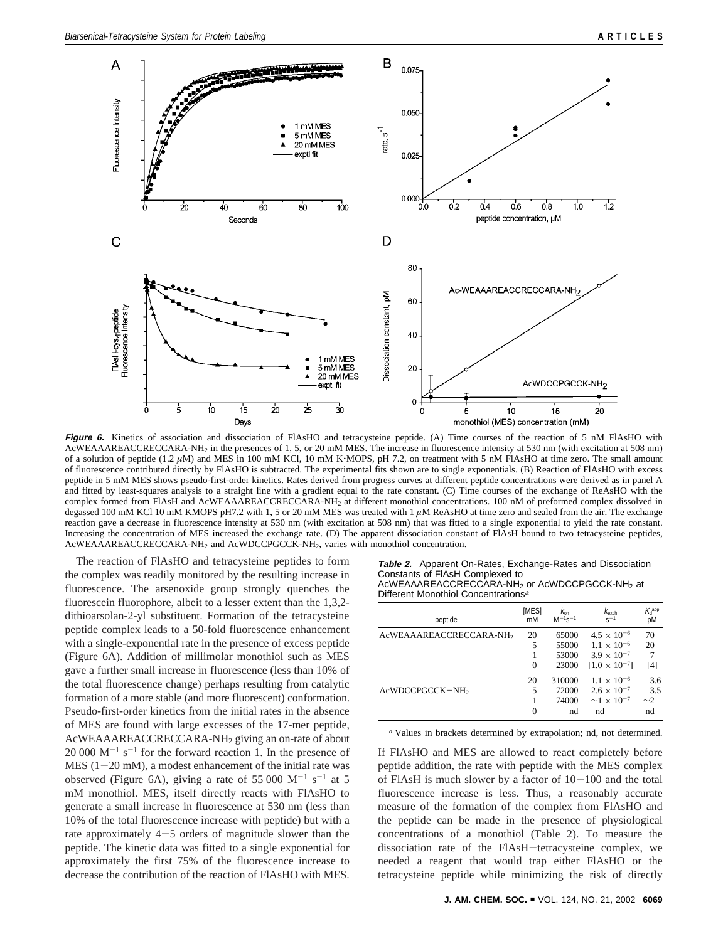

**Figure 6.** Kinetics of association and dissociation of FlAsHO and tetracysteine peptide. (A) Time courses of the reaction of 5 nM FlAsHO with AcWEAAAREACCRECCARA-NH2 in the presences of 1, 5, or 20 mM MES. The increase in fluorescence intensity at 530 nm (with excitation at 508 nm) of a solution of peptide (1.2 *<sup>µ</sup>*M) and MES in 100 mM KCl, 10 mM K'MOPS, pH 7.2, on treatment with 5 nM FlAsHO at time zero. The small amount of fluorescence contributed directly by FlAsHO is subtracted. The experimental fits shown are to single exponentials. (B) Reaction of FlAsHO with excess peptide in 5 mM MES shows pseudo-first-order kinetics. Rates derived from progress curves at different peptide concentrations were derived as in panel A and fitted by least-squares analysis to a straight line with a gradient equal to the rate constant. (C) Time courses of the exchange of ReAsHO with the complex formed from FlAsH and AcWEAAAREACCRECCARA-NH2 at different monothiol concentrations. 100 nM of preformed complex dissolved in degassed 100 mM KCl 10 mM KMOPS pH7.2 with 1, 5 or 20 mM MES was treated with 1  $\mu$ M ReAsHO at time zero and sealed from the air. The exchange reaction gave a decrease in fluorescence intensity at 530 nm (with excitation at 508 nm) that was fitted to a single exponential to yield the rate constant. Increasing the concentration of MES increased the exchange rate. (D) The apparent dissociation constant of FlAsH bound to two tetracysteine peptides, AcWEAAAREACCRECCARA-NH2 and AcWDCCPGCCK-NH2, varies with monothiol concentration.

The reaction of FlAsHO and tetracysteine peptides to form the complex was readily monitored by the resulting increase in fluorescence. The arsenoxide group strongly quenches the fluorescein fluorophore, albeit to a lesser extent than the 1,3,2 dithioarsolan-2-yl substituent. Formation of the tetracysteine peptide complex leads to a 50-fold fluorescence enhancement with a single-exponential rate in the presence of excess peptide (Figure 6A). Addition of millimolar monothiol such as MES gave a further small increase in fluorescence (less than 10% of the total fluorescence change) perhaps resulting from catalytic formation of a more stable (and more fluorescent) conformation. Pseudo-first-order kinetics from the initial rates in the absence of MES are found with large excesses of the 17-mer peptide, AcWEAAAREACCRECCARA-NH2 giving an on-rate of about  $20\,000\ \mathrm{M}^{-1}\ \mathrm{s}^{-1}$  for the forward reaction 1. In the presence of  $MES$  (1-20 mM), a modest enhancement of the initial rate was observed (Figure 6A), giving a rate of 55 000  $M^{-1}$  s<sup>-1</sup> at 5 mM monothiol. MES, itself directly reacts with FlAsHO to generate a small increase in fluorescence at 530 nm (less than 10% of the total fluorescence increase with peptide) but with a rate approximately 4-5 orders of magnitude slower than the peptide. The kinetic data was fitted to a single exponential for approximately the first 75% of the fluorescence increase to decrease the contribution of the reaction of FlAsHO with MES.

| Table 2. Apparent On-Rates, Exchange-Rates and Dissociation |
|-------------------------------------------------------------|
| Constants of FIAsH Complexed to                             |
| AcWEAAAREACCRECCARA-NH2 or AcWDCCPGCCK-NH2 at               |
| Different Monothiol Concentrationsª                         |

|  |  | Different Monothiol Concentra |
|--|--|-------------------------------|
|--|--|-------------------------------|

| peptide                             | [MES]<br>mM | $K_{\rm on}$<br>$M^{-1}S^{-1}$ | $k_{\text{exch}}$<br>$\varsigma^{-1}$ | $K_d$ app<br>pM |
|-------------------------------------|-------------|--------------------------------|---------------------------------------|-----------------|
| AcWEAAAREACCRECCARA-NH <sub>2</sub> | 20          | 65000                          | $4.5 \times 10^{-6}$                  | 70              |
|                                     | 5           | 55000                          | $1.1 \times 10^{-6}$                  | 20              |
|                                     |             | 53000                          | $3.9 \times 10^{-7}$                  | 7               |
|                                     | $\Omega$    | 23000                          | $[1.0 \times 10^{-7}]$                | [4]             |
|                                     | 20          | 310000                         | $1.1 \times 10^{-6}$                  | 3.6             |
| AcWDCCPGCCK-NH <sub>2</sub>         | 5           | 72000                          | $2.6 \times 10^{-7}$                  | 3.5             |
|                                     |             | 74000                          | $\sim$ 1 $\times$ 10 <sup>-7</sup>    | $\sim$ 2        |
|                                     | $\Omega$    | nd                             | nd                                    | nd              |

*<sup>a</sup>* Values in brackets determined by extrapolation; nd, not determined.

If FlAsHO and MES are allowed to react completely before peptide addition, the rate with peptide with the MES complex of FIAsH is much slower by a factor of  $10-100$  and the total fluorescence increase is less. Thus, a reasonably accurate measure of the formation of the complex from FlAsHO and the peptide can be made in the presence of physiological concentrations of a monothiol (Table 2). To measure the dissociation rate of the FlAsH-tetracysteine complex, we needed a reagent that would trap either FlAsHO or the tetracysteine peptide while minimizing the risk of directly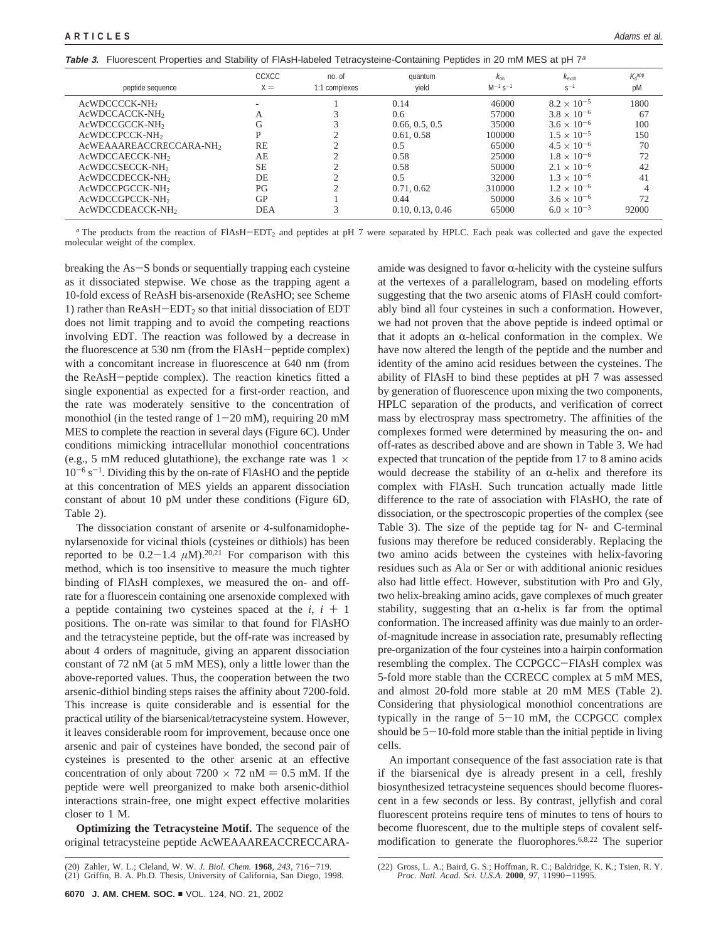**Table 3.** Fluorescent Properties and Stability of FlAsH-labeled Tetracysteine-Containing Peptides in 20 mM MES at pH 7<sup>a</sup>

| peptide sequence                    | <b>CCXCC</b><br>$X =$ | no. of<br>1:1 complexes | quantum<br>yield | $k_{on}$<br>$M^{-1}$ s <sup>-1</sup> | $k_{\text{exch}}$<br>$S^{-1}$ | $K_{\rm d}^{\rm app}$<br>pM |
|-------------------------------------|-----------------------|-------------------------|------------------|--------------------------------------|-------------------------------|-----------------------------|
| AcWDCCCCK-NH <sub>2</sub>           |                       |                         | 0.14             | 46000                                | $8.2 \times 10^{-5}$          | 1800                        |
| AcWDCCACCK-NH <sub>2</sub>          | А                     |                         | 0.6              | 57000                                | $3.8 \times 10^{-6}$          | 67                          |
| AcWDCCGCCK-NH2                      | G                     |                         | 0.66, 0.5, 0.5   | 35000                                | $3.6 \times 10^{-6}$          | 100                         |
| AcWDCCPCCK-NH <sub>2</sub>          | P                     |                         | 0.61, 0.58       | 100000                               | $1.5 \times 10^{-5}$          | 150                         |
| AcWEAAAREACCRECCARA-NH <sub>2</sub> | RE                    |                         | 0.5              | 65000                                | $4.5 \times 10^{-6}$          | 70                          |
| AcWDCCAECCK-NH <sub>2</sub>         | AE                    |                         | 0.58             | 25000                                | $1.8 \times 10^{-6}$          | 72                          |
| AcWDCCSECCK-NH2                     | <b>SE</b>             |                         | 0.58             | 50000                                | $2.1 \times 10^{-6}$          | 42                          |
| AcWDCCDECCK-NH <sub>2</sub>         | DE                    |                         | 0.5              | 32000                                | $1.3 \times 10^{-6}$          | 41                          |
| AcWDCCPGCCK-NH <sub>2</sub>         | PG                    |                         | 0.71, 0.62       | 310000                               | $1.2 \times 10^{-6}$          |                             |
| AcWDCCGPCCK-NH <sub>2</sub>         | GP                    |                         | 0.44             | 50000                                | $3.6 \times 10^{-6}$          | 72                          |
| AcWDCCDEACCK-NH <sub>2</sub>        | <b>DEA</b>            |                         | 0.10, 0.13, 0.46 | 65000                                | $6.0 \times 10^{-3}$          | 92000                       |
|                                     |                       |                         |                  |                                      |                               |                             |

*a* The products from the reaction of FlAsH-EDT<sub>2</sub> and peptides at pH 7 were separated by HPLC. Each peak was collected and gave the expected molecular weight of the complex.

breaking the As-S bonds or sequentially trapping each cysteine as it dissociated stepwise. We chose as the trapping agent a 10-fold excess of ReAsH bis-arsenoxide (ReAsHO; see Scheme 1) rather than  $ReAsH-EDT<sub>2</sub>$  so that initial dissociation of EDT does not limit trapping and to avoid the competing reactions involving EDT. The reaction was followed by a decrease in the fluorescence at 530 nm (from the FlAsH-peptide complex) with a concomitant increase in fluorescence at 640 nm (from the ReAsH-peptide complex). The reaction kinetics fitted a single exponential as expected for a first-order reaction, and the rate was moderately sensitive to the concentration of monothiol (in the tested range of  $1-20$  mM), requiring 20 mM MES to complete the reaction in several days (Figure 6C). Under conditions mimicking intracellular monothiol concentrations (e.g., 5 mM reduced glutathione), the exchange rate was  $1 \times$  $10^{-6}$  s<sup>-1</sup>. Dividing this by the on-rate of FlAsHO and the peptide at this concentration of MES yields an apparent dissociation constant of about 10 pM under these conditions (Figure 6D, Table 2).

The dissociation constant of arsenite or 4-sulfonamidophenylarsenoxide for vicinal thiols (cysteines or dithiols) has been reported to be  $0.2-1.4 \mu M$ ).<sup>20,21</sup> For comparison with this method, which is too insensitive to measure the much tighter binding of FlAsH complexes, we measured the on- and offrate for a fluorescein containing one arsenoxide complexed with a peptide containing two cysteines spaced at the  $i$ ,  $i + 1$ positions. The on-rate was similar to that found for FlAsHO and the tetracysteine peptide, but the off-rate was increased by about 4 orders of magnitude, giving an apparent dissociation constant of 72 nM (at 5 mM MES), only a little lower than the above-reported values. Thus, the cooperation between the two arsenic-dithiol binding steps raises the affinity about 7200-fold. This increase is quite considerable and is essential for the practical utility of the biarsenical/tetracysteine system. However, it leaves considerable room for improvement, because once one arsenic and pair of cysteines have bonded, the second pair of cysteines is presented to the other arsenic at an effective concentration of only about  $7200 \times 72$  nM = 0.5 mM. If the peptide were well preorganized to make both arsenic-dithiol interactions strain-free, one might expect effective molarities closer to 1 M.

**Optimizing the Tetracysteine Motif.** The sequence of the original tetracysteine peptide AcWEAAAREACCRECCARA-

amide was designed to favor  $\alpha$ -helicity with the cysteine sulfurs at the vertexes of a parallelogram, based on modeling efforts suggesting that the two arsenic atoms of FlAsH could comfortably bind all four cysteines in such a conformation. However, we had not proven that the above peptide is indeed optimal or that it adopts an  $\alpha$ -helical conformation in the complex. We have now altered the length of the peptide and the number and identity of the amino acid residues between the cysteines. The ability of FlAsH to bind these peptides at pH 7 was assessed by generation of fluorescence upon mixing the two components, HPLC separation of the products, and verification of correct mass by electrospray mass spectrometry. The affinities of the complexes formed were determined by measuring the on- and off-rates as described above and are shown in Table 3. We had expected that truncation of the peptide from 17 to 8 amino acids would decrease the stability of an  $\alpha$ -helix and therefore its complex with FlAsH. Such truncation actually made little difference to the rate of association with FlAsHO, the rate of dissociation, or the spectroscopic properties of the complex (see Table 3). The size of the peptide tag for N- and C-terminal fusions may therefore be reduced considerably. Replacing the two amino acids between the cysteines with helix-favoring residues such as Ala or Ser or with additional anionic residues also had little effect. However, substitution with Pro and Gly, two helix-breaking amino acids, gave complexes of much greater stability, suggesting that an  $\alpha$ -helix is far from the optimal conformation. The increased affinity was due mainly to an orderof-magnitude increase in association rate, presumably reflecting pre-organization of the four cysteines into a hairpin conformation resembling the complex. The CCPGCC-FlAsH complex was 5-fold more stable than the CCRECC complex at 5 mM MES, and almost 20-fold more stable at 20 mM MES (Table 2). Considering that physiological monothiol concentrations are typically in the range of  $5-10$  mM, the CCPGCC complex should be  $5-10$ -fold more stable than the initial peptide in living cells.

An important consequence of the fast association rate is that if the biarsenical dye is already present in a cell, freshly biosynthesized tetracysteine sequences should become fluorescent in a few seconds or less. By contrast, jellyfish and coral fluorescent proteins require tens of minutes to tens of hours to become fluorescent, due to the multiple steps of covalent selfmodification to generate the fluorophores.6,8,22 The superior

<sup>(20)</sup> Zahler, W. L.; Cleland, W. W. *J. Biol. Chem.* **<sup>1968</sup>**, *<sup>243</sup>*, 716-719. (21) Griffin, B. A. Ph.D. Thesis, University of California, San Diego, 1998.

<sup>(22)</sup> Gross, L. A.; Baird, G. S.; Hoffman, R. C.; Baldridge, K. K.; Tsien, R. Y. *Proc. Natl. Acad. Sci. U.S.A.* **<sup>2000</sup>**, *<sup>97</sup>*, 11990-11995.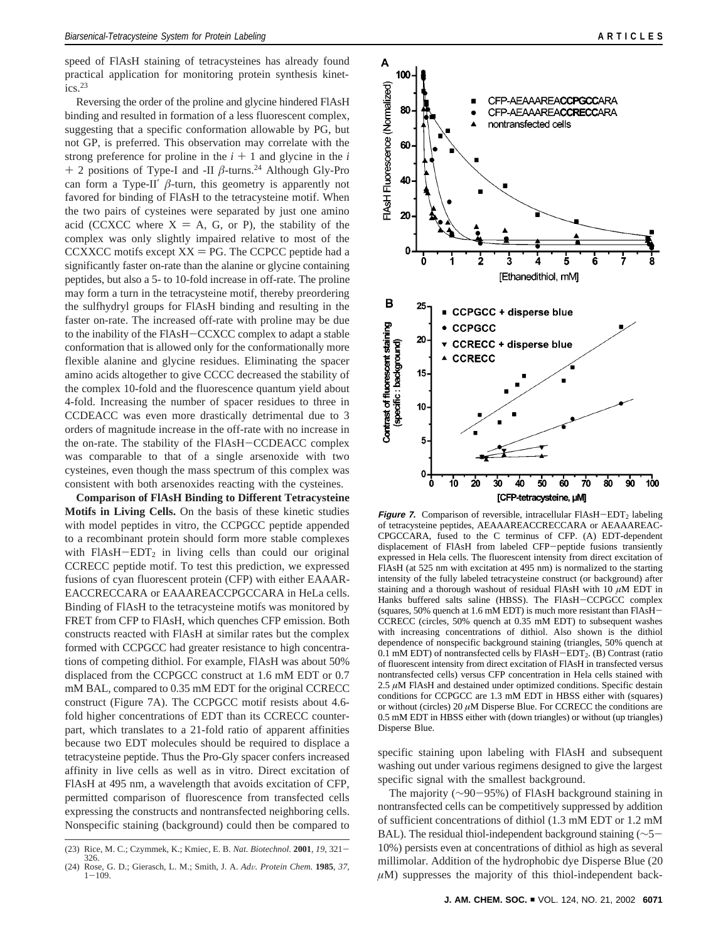speed of FlAsH staining of tetracysteines has already found practical application for monitoring protein synthesis kinet $ics.<sup>23</sup>$ 

Reversing the order of the proline and glycine hindered FlAsH binding and resulted in formation of a less fluorescent complex, suggesting that a specific conformation allowable by PG, but not GP, is preferred. This observation may correlate with the strong preference for proline in the  $i + 1$  and glycine in the  $i$ <sup>+</sup> 2 positions of Type-I and -II *<sup>â</sup>*-turns.24 Although Gly-Pro can form a Type-II'  $\beta$ -turn, this geometry is apparently not favored for binding of FlAsH to the tetracysteine motif. When the two pairs of cysteines were separated by just one amino acid (CCXCC where  $X = A$ , G, or P), the stability of the complex was only slightly impaired relative to most of the CCXXCC motifs except  $XX = PG$ . The CCPCC peptide had a significantly faster on-rate than the alanine or glycine containing peptides, but also a 5- to 10-fold increase in off-rate. The proline may form a turn in the tetracysteine motif, thereby preordering the sulfhydryl groups for FlAsH binding and resulting in the faster on-rate. The increased off-rate with proline may be due to the inability of the FlAsH-CCXCC complex to adapt a stable conformation that is allowed only for the conformationally more flexible alanine and glycine residues. Eliminating the spacer amino acids altogether to give CCCC decreased the stability of the complex 10-fold and the fluorescence quantum yield about 4-fold. Increasing the number of spacer residues to three in CCDEACC was even more drastically detrimental due to 3 orders of magnitude increase in the off-rate with no increase in the on-rate. The stability of the FlAsH-CCDEACC complex was comparable to that of a single arsenoxide with two cysteines, even though the mass spectrum of this complex was consistent with both arsenoxides reacting with the cysteines.

**Comparison of FlAsH Binding to Different Tetracysteine Motifs in Living Cells.** On the basis of these kinetic studies with model peptides in vitro, the CCPGCC peptide appended to a recombinant protein should form more stable complexes with  $FIAsH-EDT<sub>2</sub>$  in living cells than could our original CCRECC peptide motif. To test this prediction, we expressed fusions of cyan fluorescent protein (CFP) with either EAAAR-EACCRECCARA or EAAAREACCPGCCARA in HeLa cells. Binding of FlAsH to the tetracysteine motifs was monitored by FRET from CFP to FlAsH, which quenches CFP emission. Both constructs reacted with FlAsH at similar rates but the complex formed with CCPGCC had greater resistance to high concentrations of competing dithiol. For example, FlAsH was about 50% displaced from the CCPGCC construct at 1.6 mM EDT or 0.7 mM BAL, compared to 0.35 mM EDT for the original CCRECC construct (Figure 7A). The CCPGCC motif resists about 4.6 fold higher concentrations of EDT than its CCRECC counterpart, which translates to a 21-fold ratio of apparent affinities because two EDT molecules should be required to displace a tetracysteine peptide. Thus the Pro-Gly spacer confers increased affinity in live cells as well as in vitro. Direct excitation of FlAsH at 495 nm, a wavelength that avoids excitation of CFP, permitted comparison of fluorescence from transfected cells expressing the constructs and nontransfected neighboring cells. Nonspecific staining (background) could then be compared to



**Figure 7.** Comparison of reversible, intracellular  $FIAsH-EDT<sub>2</sub>$  labeling of tetracysteine peptides, AEAAAREACCRECCARA or AEAAAREAC-CPGCCARA, fused to the C terminus of CFP. (A) EDT-dependent displacement of FlAsH from labeled CFP-peptide fusions transiently expressed in Hela cells. The fluorescent intensity from direct excitation of FlAsH (at 525 nm with excitation at 495 nm) is normalized to the starting intensity of the fully labeled tetracysteine construct (or background) after staining and a thorough washout of residual FlAsH with 10 *µ*M EDT in Hanks buffered salts saline (HBSS). The FlAsH-CCPGCC complex (squares, 50% quench at 1.6 mM EDT) is much more resistant than FlAsH-CCRECC (circles, 50% quench at 0.35 mM EDT) to subsequent washes with increasing concentrations of dithiol. Also shown is the dithiol dependence of nonspecific background staining (triangles, 50% quench at 0.1 mM EDT) of nontransfected cells by  $FIAsH-EDT<sub>2</sub>$ . (B) Contrast (ratio of fluorescent intensity from direct excitation of FlAsH in transfected versus nontransfected cells) versus CFP concentration in Hela cells stained with 2.5  $\mu$ M FlAsH and destained under optimized conditions. Specific destain conditions for CCPGCC are 1.3 mM EDT in HBSS either with (squares) or without (circles) 20 *µ*M Disperse Blue. For CCRECC the conditions are 0.5 mM EDT in HBSS either with (down triangles) or without (up triangles) Disperse Blue.

specific staining upon labeling with FlAsH and subsequent washing out under various regimens designed to give the largest specific signal with the smallest background.

The majority (∼90-95%) of FlAsH background staining in nontransfected cells can be competitively suppressed by addition of sufficient concentrations of dithiol (1.3 mM EDT or 1.2 mM BAL). The residual thiol-independent background staining (∼5- 10%) persists even at concentrations of dithiol as high as several millimolar. Addition of the hydrophobic dye Disperse Blue (20  $\mu$ M) suppresses the majority of this thiol-independent back-

<sup>(23)</sup> Rice, M. C.; Czymmek, K.; Kmiec, E. B. *Nat. Biotechnol.* **<sup>2001</sup>**, *<sup>19</sup>*, 321- 326.

<sup>(24)</sup> Rose, G. D.; Gierasch, L. M.; Smith, J. A. *Ad*V*. Protein Chem.* **<sup>1985</sup>**, *<sup>37</sup>*, <sup>1</sup>-109.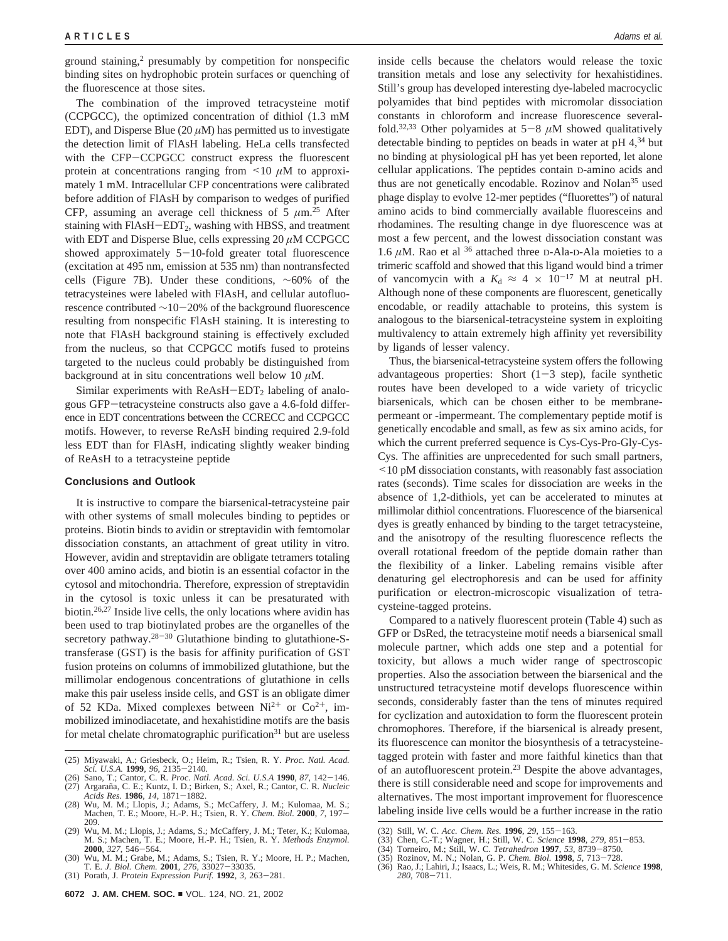ground staining,<sup>2</sup> presumably by competition for nonspecific binding sites on hydrophobic protein surfaces or quenching of the fluorescence at those sites.

The combination of the improved tetracysteine motif (CCPGCC), the optimized concentration of dithiol (1.3 mM EDT), and Disperse Blue  $(20 \mu M)$  has permitted us to investigate the detection limit of FlAsH labeling. HeLa cells transfected with the CFP-CCPGCC construct express the fluorescent protein at concentrations ranging from  $\leq 10 \mu M$  to approximately 1 mM. Intracellular CFP concentrations were calibrated before addition of FlAsH by comparison to wedges of purified CFP, assuming an average cell thickness of 5  $\mu$ m.<sup>25</sup> After staining with FlAsH-EDT<sub>2</sub>, washing with HBSS, and treatment with EDT and Disperse Blue, cells expressing 20 *µ*M CCPGCC showed approximately  $5-10$ -fold greater total fluorescence (excitation at 495 nm, emission at 535 nm) than nontransfected cells (Figure 7B). Under these conditions, ∼60% of the tetracysteines were labeled with FlAsH, and cellular autofluorescence contributed <sup>∼</sup>10-20% of the background fluorescence resulting from nonspecific FlAsH staining. It is interesting to note that FlAsH background staining is effectively excluded from the nucleus, so that CCPGCC motifs fused to proteins targeted to the nucleus could probably be distinguished from background at in situ concentrations well below 10 *µ*M.

Similar experiments with  $ReAsH-EDT<sub>2</sub>$  labeling of analogous GFP-tetracysteine constructs also gave a 4.6-fold difference in EDT concentrations between the CCRECC and CCPGCC motifs. However, to reverse ReAsH binding required 2.9-fold less EDT than for FlAsH, indicating slightly weaker binding of ReAsH to a tetracysteine peptide

#### **Conclusions and Outlook**

It is instructive to compare the biarsenical-tetracysteine pair with other systems of small molecules binding to peptides or proteins. Biotin binds to avidin or streptavidin with femtomolar dissociation constants, an attachment of great utility in vitro. However, avidin and streptavidin are obligate tetramers totaling over 400 amino acids, and biotin is an essential cofactor in the cytosol and mitochondria. Therefore, expression of streptavidin in the cytosol is toxic unless it can be presaturated with biotin.26,27 Inside live cells, the only locations where avidin has been used to trap biotinylated probes are the organelles of the secretory pathway. $28-30$  Glutathione binding to glutathione-Stransferase (GST) is the basis for affinity purification of GST fusion proteins on columns of immobilized glutathione, but the millimolar endogenous concentrations of glutathione in cells make this pair useless inside cells, and GST is an obligate dimer of 52 KDa. Mixed complexes between  $Ni^{2+}$  or  $Co^{2+}$ , immobilized iminodiacetate, and hexahistidine motifs are the basis for metal chelate chromatographic purification $31$  but are useless inside cells because the chelators would release the toxic transition metals and lose any selectivity for hexahistidines. Still's group has developed interesting dye-labeled macrocyclic polyamides that bind peptides with micromolar dissociation constants in chloroform and increase fluorescence severalfold.<sup>32,33</sup> Other polyamides at  $5-8$   $\mu$ M showed qualitatively detectable binding to peptides on beads in water at  $pH$  4,<sup>34</sup> but no binding at physiological pH has yet been reported, let alone cellular applications. The peptides contain D-amino acids and thus are not genetically encodable. Rozinov and Nolan<sup>35</sup> used phage display to evolve 12-mer peptides ("fluorettes") of natural amino acids to bind commercially available fluoresceins and rhodamines. The resulting change in dye fluorescence was at most a few percent, and the lowest dissociation constant was 1.6 *µ*M. Rao et al <sup>36</sup> attached three D-Ala-D-Ala moieties to a trimeric scaffold and showed that this ligand would bind a trimer of vancomycin with a  $K_d \approx 4 \times 10^{-17}$  M at neutral pH. Although none of these components are fluorescent, genetically encodable, or readily attachable to proteins, this system is analogous to the biarsenical-tetracysteine system in exploiting multivalency to attain extremely high affinity yet reversibility by ligands of lesser valency.

Thus, the biarsenical-tetracysteine system offers the following advantageous properties: Short  $(1-3 \text{ step})$ , facile synthetic routes have been developed to a wide variety of tricyclic biarsenicals, which can be chosen either to be membranepermeant or -impermeant. The complementary peptide motif is genetically encodable and small, as few as six amino acids, for which the current preferred sequence is Cys-Cys-Pro-Gly-Cys-Cys. The affinities are unprecedented for such small partners, <10 pM dissociation constants, with reasonably fast association rates (seconds). Time scales for dissociation are weeks in the absence of 1,2-dithiols, yet can be accelerated to minutes at millimolar dithiol concentrations. Fluorescence of the biarsenical dyes is greatly enhanced by binding to the target tetracysteine, and the anisotropy of the resulting fluorescence reflects the overall rotational freedom of the peptide domain rather than the flexibility of a linker. Labeling remains visible after denaturing gel electrophoresis and can be used for affinity purification or electron-microscopic visualization of tetracysteine-tagged proteins.

Compared to a natively fluorescent protein (Table 4) such as GFP or DsRed, the tetracysteine motif needs a biarsenical small molecule partner, which adds one step and a potential for toxicity, but allows a much wider range of spectroscopic properties. Also the association between the biarsenical and the unstructured tetracysteine motif develops fluorescence within seconds, considerably faster than the tens of minutes required for cyclization and autoxidation to form the fluorescent protein chromophores. Therefore, if the biarsenical is already present, its fluorescence can monitor the biosynthesis of a tetracysteinetagged protein with faster and more faithful kinetics than that of an autofluorescent protein.23 Despite the above advantages, there is still considerable need and scope for improvements and alternatives. The most important improvement for fluorescence labeling inside live cells would be a further increase in the ratio

<sup>(25)</sup> Miyawaki, A.; Griesbeck, O.; Heim, R.; Tsien, R. Y. *Proc. Natl. Acad.*

*Sci. U.S.A.* **<sup>1999</sup>**, *<sup>96</sup>*, 2135-2140. (26) Sano, T.; Cantor, C. R. *Proc. Natl. Acad. Sci. U.S.A* **<sup>1990</sup>**, *<sup>87</sup>*, 142-146. (27) Argaran˜a, C. E.; Kuntz, I. D.; Birken, S.; Axel, R.; Cantor, C. R. *Nucleic*

*Acids Res.* **<sup>1986</sup>**, *<sup>14</sup>*, 1871-1882. (28) Wu, M. M.; Llopis, J.; Adams, S.; McCaffery, J. M.; Kulomaa, M. S.; Machen, T. E.; Moore, H.-P. H.; Tsien, R. Y. *Chem. Biol.* **<sup>2000</sup>**, *<sup>7</sup>*, 197- 209.

<sup>(29)</sup> Wu, M. M.; Llopis, J.; Adams, S.; McCaffery, J. M.; Teter, K.; Kulomaa, M. S.; Machen, T. E.; Moore, H.-P. H.; Tsien, R. Y. *Methods Enzymol.*

**<sup>2000</sup>**, 327, 546–564.<br>
(30) Wu, M. M.; Grabe, M.; Adams, S.; Tsien, R. Y.; Moore, H. P.; Machen, T. E. *J. Biol. Chem.* **2001**, 276, 33027–33035.<br>
(31) Porath, J. *Protein Expression Purif*. **1992**, 3, 263–281.

<sup>(32)</sup> Still, W. C. *Acc. Chem. Res.* **<sup>1996</sup>**, *<sup>29</sup>*, 155-163.

<sup>(33)</sup> Chen, C.-T.; Wagner, H.; Still, W. C. Science **1998**, 279, 851–853.<br>(34) Tomeiro, M.; Still, W. C. *Tetrahedron* **1997**, 53, 8739–8750.<br>(35) Rozinov, M. N.; Nolan, G. P. Chem. Biol. **1998**, 5, 713–728.<br>(36) Rao, J.; L *<sup>280</sup>*, 708-711.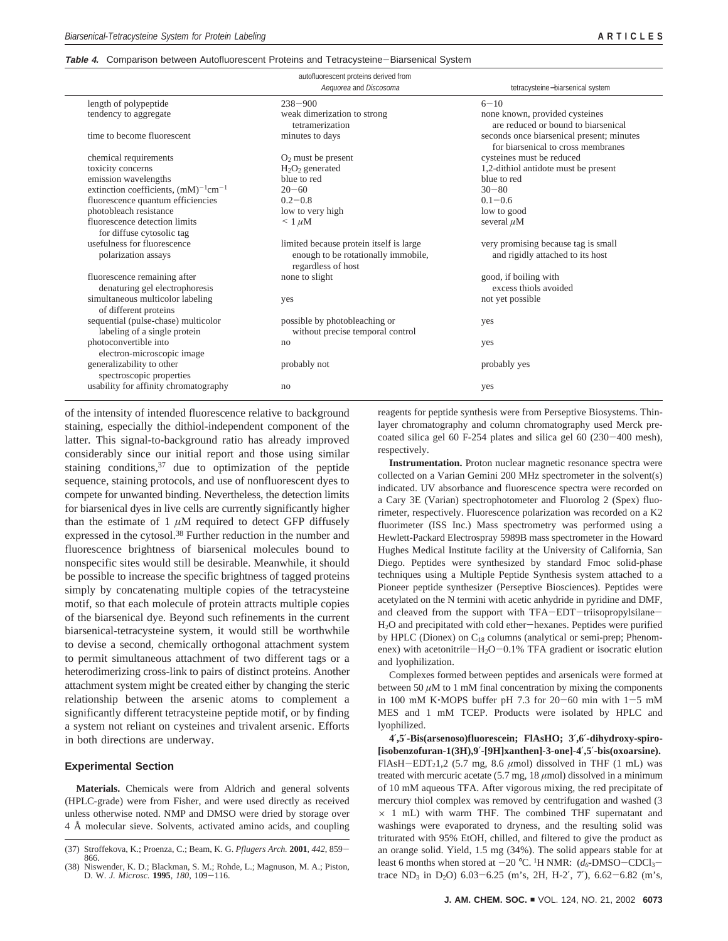## **Table 4.** Comparison between Autofluorescent Proteins and Tetracysteine-Biarsenical System

| autofluorescent proteins derived from       |                                          |                                           |  |  |  |
|---------------------------------------------|------------------------------------------|-------------------------------------------|--|--|--|
|                                             | Aequorea and Discosoma                   | tetracysteine-biarsenical system          |  |  |  |
| length of polypeptide                       | $238 - 900$                              | $6 - 10$                                  |  |  |  |
| tendency to aggregate                       | weak dimerization to strong              | none known, provided cysteines            |  |  |  |
|                                             | tetramerization                          | are reduced or bound to biarsenical       |  |  |  |
| time to become fluorescent                  | minutes to days                          | seconds once biarsenical present; minutes |  |  |  |
|                                             |                                          | for biarsenical to cross membranes        |  |  |  |
| chemical requirements                       | $O2$ must be present                     | cysteines must be reduced                 |  |  |  |
| toxicity concerns                           | $H2O2$ generated                         | 1,2-dithiol antidote must be present      |  |  |  |
| emission wavelengths                        | blue to red                              | blue to red                               |  |  |  |
| extinction coefficients, $(mM)^{-1}cm^{-1}$ | $20 - 60$                                | $30 - 80$                                 |  |  |  |
| fluorescence quantum efficiencies           | $0.2 - 0.8$                              | $0.1 - 0.6$                               |  |  |  |
| photobleach resistance                      | low to very high                         | low to good                               |  |  |  |
| fluorescence detection limits               | $\leq 1 \mu M$                           | several $\mu$ M                           |  |  |  |
| for diffuse cytosolic tag                   |                                          |                                           |  |  |  |
| usefulness for fluorescence                 | limited because protein itself is large. | very promising because tag is small       |  |  |  |
| polarization assays                         | enough to be rotationally immobile,      | and rigidly attached to its host          |  |  |  |
|                                             | regardless of host                       |                                           |  |  |  |
| fluorescence remaining after                | none to slight                           | good, if boiling with                     |  |  |  |
| denaturing gel electrophoresis              |                                          | excess thiols avoided                     |  |  |  |
| simultaneous multicolor labeling            | yes                                      | not yet possible                          |  |  |  |
| of different proteins                       |                                          |                                           |  |  |  |
| sequential (pulse-chase) multicolor         | possible by photobleaching or            | yes                                       |  |  |  |
| labeling of a single protein                | without precise temporal control         |                                           |  |  |  |
| photoconvertible into                       | no                                       | yes                                       |  |  |  |
| electron-microscopic image                  |                                          |                                           |  |  |  |
| generalizability to other                   | probably not                             | probably yes                              |  |  |  |
| spectroscopic properties                    |                                          |                                           |  |  |  |
| usability for affinity chromatography       | no                                       | yes                                       |  |  |  |
|                                             |                                          |                                           |  |  |  |

of the intensity of intended fluorescence relative to background staining, especially the dithiol-independent component of the latter. This signal-to-background ratio has already improved considerably since our initial report and those using similar staining conditions,  $37$  due to optimization of the peptide sequence, staining protocols, and use of nonfluorescent dyes to compete for unwanted binding. Nevertheless, the detection limits for biarsenical dyes in live cells are currently significantly higher than the estimate of  $1 \mu M$  required to detect GFP diffusely expressed in the cytosol.<sup>38</sup> Further reduction in the number and fluorescence brightness of biarsenical molecules bound to nonspecific sites would still be desirable. Meanwhile, it should be possible to increase the specific brightness of tagged proteins simply by concatenating multiple copies of the tetracysteine motif, so that each molecule of protein attracts multiple copies of the biarsenical dye. Beyond such refinements in the current biarsenical-tetracysteine system, it would still be worthwhile to devise a second, chemically orthogonal attachment system to permit simultaneous attachment of two different tags or a heterodimerizing cross-link to pairs of distinct proteins. Another attachment system might be created either by changing the steric relationship between the arsenic atoms to complement a significantly different tetracysteine peptide motif, or by finding a system not reliant on cysteines and trivalent arsenic. Efforts in both directions are underway.

# **Experimental Section**

**Materials.** Chemicals were from Aldrich and general solvents (HPLC-grade) were from Fisher, and were used directly as received unless otherwise noted. NMP and DMSO were dried by storage over 4 Å molecular sieve. Solvents, activated amino acids, and coupling

reagents for peptide synthesis were from Perseptive Biosystems. Thinlayer chromatography and column chromatography used Merck precoated silica gel 60 F-254 plates and silica gel 60 (230-400 mesh), respectively.

**Instrumentation.** Proton nuclear magnetic resonance spectra were collected on a Varian Gemini 200 MHz spectrometer in the solvent(s) indicated. UV absorbance and fluorescence spectra were recorded on a Cary 3E (Varian) spectrophotometer and Fluorolog 2 (Spex) fluorimeter, respectively. Fluorescence polarization was recorded on a K2 fluorimeter (ISS Inc.) Mass spectrometry was performed using a Hewlett-Packard Electrospray 5989B mass spectrometer in the Howard Hughes Medical Institute facility at the University of California, San Diego. Peptides were synthesized by standard Fmoc solid-phase techniques using a Multiple Peptide Synthesis system attached to a Pioneer peptide synthesizer (Perseptive Biosciences). Peptides were acetylated on the N termini with acetic anhydride in pyridine and DMF, and cleaved from the support with TFA-EDT-triisopropylsilane-H2O and precipitated with cold ether-hexanes. Peptides were purified by HPLC (Dionex) on  $C_{18}$  columns (analytical or semi-prep; Phenomenex) with acetonitrile $-H_2O-0.1\%$  TFA gradient or isocratic elution and lyophilization.

Complexes formed between peptides and arsenicals were formed at between 50  $\mu$ M to 1 mM final concentration by mixing the components in 100 mM K $\cdot$ MOPS buffer pH 7.3 for 20-60 min with 1-5 mM MES and 1 mM TCEP. Products were isolated by HPLC and lyophilized.

**4**′**,5**′**-Bis(arsenoso)fluorescein; FlAsHO; 3**′**,6**′**-dihydroxy-spiro- [isobenzofuran-1(3H),9**′**-[9H]xanthen]-3-one]-4**′**,5**′**-bis(oxoarsine).** FlAsH-EDT<sub>2</sub>1,2 (5.7 mg, 8.6  $\mu$ mol) dissolved in THF (1 mL) was treated with mercuric acetate (5.7 mg, 18 *µ*mol) dissolved in a minimum of 10 mM aqueous TFA. After vigorous mixing, the red precipitate of mercury thiol complex was removed by centrifugation and washed (3  $\times$  1 mL) with warm THF. The combined THF supernatant and washings were evaporated to dryness, and the resulting solid was triturated with 95% EtOH, chilled, and filtered to give the product as an orange solid. Yield, 1.5 mg (34%). The solid appears stable for at least 6 months when stored at  $-20$  °C. <sup>1</sup>H NMR:  $(d_6$ -DMSO-CDCl<sub>3</sub>-<br>trace ND, in D-O 6.03–6.25 (m<sup>3</sup>e, 2H, H, 2<sup>7</sup>, 7<sup>2</sup>), 6.62–6.82 (m<sup>3</sup>e trace  $ND_3$  in  $D_2O$ ) 6.03-6.25 (m's, 2H, H-2', 7'), 6.62-6.82 (m's,

<sup>(37)</sup> Stroffekova, K.; Proenza, C.; Beam, K. G. *Pflugers Arch.* **<sup>2001</sup>**, *<sup>442</sup>*, 859- 866.

<sup>(38)</sup> Niswender, K. D.; Blackman, S. M.; Rohde, L.; Magnuson, M. A.; Piston, D. W. *J. Microsc.* **<sup>1995</sup>**, *<sup>180</sup>*, 109-116.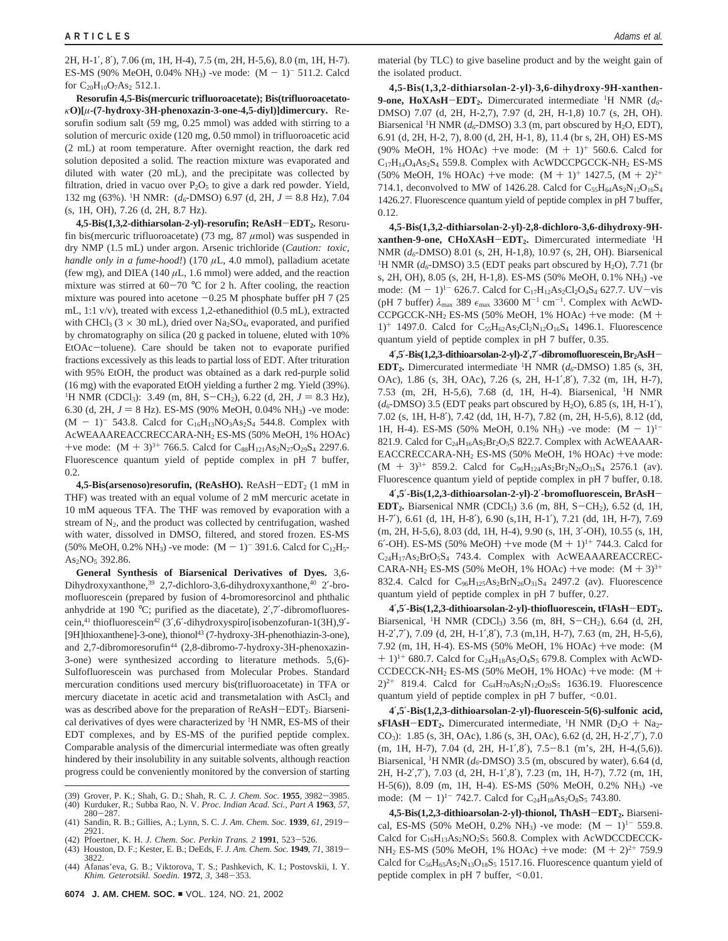2H, H-1′, 8′), 7.06 (m, 1H, H-4), 7.5 (m, 2H, H-5,6), 8.0 (m, 1H, H-7). ES-MS (90% MeOH, 0.04% NH<sub>3</sub>) -ve mode:  $(M - 1)^{-511.2}$ . Calcd for  $C_{20}H_{10}O_7As_2$  512.1.

**Resorufin 4,5-Bis(mercuric trifluoroacetate); Bis(trifluoroacetato***κ***O)[***µ***-(7-hydroxy-3H-phenoxazin-3-one-4,5-diyl)]dimercury.** Resorufin sodium salt (59 mg, 0.25 mmol) was added with stirring to a solution of mercuric oxide (120 mg, 0.50 mmol) in trifluoroacetic acid (2 mL) at room temperature. After overnight reaction, the dark red solution deposited a solid. The reaction mixture was evaporated and diluted with water (20 mL), and the precipitate was collected by filtration, dried in vacuo over  $P_2O_5$  to give a dark red powder. Yield, 132 mg (63%). <sup>1</sup>H NMR: (*d<sub>6</sub>*-DMSO) 6.97 (d, 2H,  $J = 8.8$  Hz), 7.04<br>(c, 1H OH) 7.26 (d, 2H  $\frac{8.7 \text{ Hz}}{J}$ (s, 1H, OH), 7.26 (d, 2H, 8.7 Hz).

**4,5-Bis(1,3,2-dithiarsolan-2-yl)-resorufin; ReAsH**-**EDT2.** Resorufin bis(mercuric trifluoroacetate) (73 mg, 87 *µ*mol) was suspended in dry NMP (1.5 mL) under argon. Arsenic trichloride (*Caution: toxic, handle only in a fume-hood!*) (170  $\mu$ L, 4.0 mmol), palladium acetate (few mg), and DIEA  $(140 \mu L, 1.6 \text{ mmol})$  were added, and the reaction mixture was stirred at  $60-70$  °C for 2 h. After cooling, the reaction mixture was poured into acetone  $-0.25$  M phosphate buffer pH 7 (25) mL, 1:1 v/v), treated with excess 1,2-ethanedithiol (0.5 mL), extracted with CHCl<sub>3</sub> (3  $\times$  30 mL), dried over Na<sub>2</sub>SO<sub>4</sub>, evaporated, and purified by chromatography on silica (20 g packed in toluene, eluted with 10% EtOAc-toluene). Care should be taken not to evaporate purified fractions excessively as this leads to partial loss of EDT. After trituration with 95% EtOH, the product was obtained as a dark red-purple solid (16 mg) with the evaporated EtOH yielding a further 2 mg. Yield (39%). <sup>1</sup>H NMR (CDCl<sub>3</sub>): 3.49 (m, 8H, S-CH<sub>2</sub>), 6.22 (d, 2H,  $J = 8.3$  Hz), 6.30 (d, 2H,  $J = 8$  Hz). ES-MS (90% MeOH, 0.04% NH<sub>3</sub>) -ve mode:  $(M - 1)^{-543.8}$ . Calcd for C<sub>16</sub>H<sub>13</sub>NO<sub>3</sub>As<sub>2</sub>S<sub>4</sub> 544.8. Complex with AcWEAAAREACCRECCARA-NH2 ES-MS (50% MeOH, 1% HOAc) +ve mode:  $(M + 3)^{3+}$  766.5. Calcd for  $C_{88}H_{121}As_2N_{27}O_{29}S_4$  2297.6. Fluorescence quantum yield of peptide complex in pH 7 buffer, 0.2.

**4,5-Bis(arsenoso)resorufin, (ReAsHO).** ReAsH-EDT<sub>2</sub> (1 mM in THF) was treated with an equal volume of 2 mM mercuric acetate in 10 mM aqueous TFA. The THF was removed by evaporation with a stream of  $N_2$ , and the product was collected by centrifugation, washed with water, dissolved in DMSO, filtered, and stored frozen. ES-MS (50% MeOH, 0.2% NH<sub>3</sub>) -ve mode:  $(M - 1)^{-}$  391.6. Calcd for C<sub>12</sub>H<sub>5</sub>-As2NO5 392.86.

**General Synthesis of Biarsenical Derivatives of Dyes.** 3,6- Dihydroxyxanthone,<sup>39</sup> 2,7-dichloro-3,6-dihydroxyxanthone,<sup>40</sup> 2'-bromofluorescein (prepared by fusion of 4-bromoresorcinol and phthalic anhydride at 190 °C; purified as the diacetate), 2′,7′-dibromofluorescein,41 thiofluorescein42 (3′,6′-dihydroxyspiro[isobenzofuran-1(3H),9′- [9H]thioxanthene]-3-one), thionol<sup>43</sup> (7-hydroxy-3H-phenothiazin-3-one), and 2,7-dibromoresorufin<sup>44</sup> (2,8-dibromo-7-hydroxy-3H-phenoxazin-3-one) were synthesized according to literature methods. 5,(6)- Sulfofluorescein was purchased from Molecular Probes. Standard mercuration conditions used mercury bis(trifluoroacetate) in TFA or mercury diacetate in acetic acid and transmetalation with AsCl<sub>3</sub> and was as described above for the preparation of  $ReAsH-EDT<sub>2</sub>$ . Biarsenical derivatives of dyes were characterized by <sup>1</sup>H NMR, ES-MS of their EDT complexes, and by ES-MS of the purified peptide complex. Comparable analysis of the dimercurial intermediate was often greatly hindered by their insolubility in any suitable solvents, although reaction progress could be conveniently monitored by the conversion of starting

- (39) Grover, P. K.; Shah, G. D.; Shah, R. C. *J. Chem. Soc.* **<sup>1955</sup>**, 3982-3985. (40) Kurduker, R.; Subba Rao, N. V. *Proc. Indian Acad. Sci., Part A* **1963**, *57*,
- <sup>280</sup>-287. (41) Sandin, R. B.; Gillies, A.; Lynn, S. C. *J. Am. Chem. Soc.* **<sup>1939</sup>**, *<sup>61</sup>*, 2919- 2921.
- (42) Pfoertner, K. H. *J. Chem. Soc. Perkin Trans. 2* **<sup>1991</sup>**, 523-526. (43) Houston, D. F.; Kester, E. B.; DeEds, F. *J. Am. Chem. Soc.* **<sup>1949</sup>**, *<sup>71</sup>*, 3819- 3822.
- (44) Afanas'eva, G. B.; Viktorova, T. S.; Pashkevich, K. I.; Postovskii, I. Y. *Khim. Geterotsikl. Soedin.* **<sup>1972</sup>**, *<sup>3</sup>*, 348-353.

material (by TLC) to give baseline product and by the weight gain of the isolated product.

**4,5-Bis(1,3,2-dithiarsolan-2-yl)-3,6-dihydroxy-9H-xanthen-9-one, HoXAsH**-**EDT2.** Dimercurated intermediate 1H NMR (*d6*- DMSO) 7.07 (d, 2H, H-2,7), 7.97 (d, 2H, H-1,8) 10.7 (s, 2H, OH). Biarsenical <sup>1</sup>H NMR ( $d_6$ -DMSO) 3.3 (m, part obscured by H<sub>2</sub>O, EDT), 6.91 (d, 2H, H-2, 7), 8.00 (d, 2H, H-1, 8), 11.4 (br s, 2H, OH) ES-MS (90% MeOH, 1% HOAc) +ve mode:  $(M + 1)^+$  560.6. Calcd for C17H14O4As2S4 559.8. Complex with AcWDCCPGCCK-NH2 ES-MS (50% MeOH, 1% HOAc) +ve mode:  $(M + 1)^+$  1427.5,  $(M + 2)^{2+}$ 714.1, deconvolved to MW of 1426.28. Calcd for  $C_{55}H_{64}As_{2}N_{12}O_{16}S_{4}$ 1426.27. Fluorescence quantum yield of peptide complex in pH 7 buffer, 0.12.

**4,5-Bis(1,3,2-dithiarsolan-2-yl)-2,8-dichloro-3,6-dihydroxy-9Hxanthen-9-one, CHoXAsH-EDT<sub>2</sub>.** Dimercurated intermediate <sup>1</sup>H<br>NMP (d. DMSO) 8.01 (s. 2H, H, 1.8), 10.97 (s. 2H, OH). Riggenical NMR (*d6*-DMSO) 8.01 (s, 2H, H-1,8), 10.97 (s, 2H, OH). Biarsenical <sup>1</sup>H NMR ( $d_6$ -DMSO) 3.5 (EDT peaks part obscured by H<sub>2</sub>O), 7.71 (br s, 2H, OH), 8.05 (s, 2H, H-1,8). ES-MS (50% MeOH, 0.1% NH3) -ve mode:  $(M - 1)^{1-}$  626.7. Calcd for C<sub>17</sub>H<sub>12</sub>As<sub>2</sub>Cl<sub>2</sub>O<sub>4</sub>S<sub>4</sub> 627.7. UV-vis (pH 7 buffer)  $\lambda_{\text{max}}$  389  $\epsilon_{\text{max}}$  33600 M<sup>-1</sup> cm<sup>-1</sup>. Complex with AcWD-CCPGCCK-NH<sub>2</sub> ES-MS (50% MeOH, 1% HOAc) +ve mode:  $(M +$  $1$ <sup>+</sup> 1497.0. Calcd for  $C_{55}H_{62}As_2Cl_2N_{12}O_{16}S_4$  1496.1. Fluorescence quantum yield of peptide complex in pH 7 buffer, 0.35.

**<sup>4</sup>**′**,5**′**-Bis(1,2,3-dithioarsolan-2-yl)-2**′**,7**′**-dibromofluorescein,Br2AsH**-**EDT**<sub>2</sub>. Dimercurated intermediate <sup>1</sup>H NMR ( $d_6$ -DMSO) 1.85 (s, 3H, OAc), 1.86 (s, 3H, OAc), 7.26 (s, 2H, H-1′,8′), 7.32 (m, 1H, H-7), 7.53 (m, 2H, H-5,6), 7.68 (d, 1H, H-4). Biarsenical, 1H NMR  $(d_6$ -DMSO) 3.5 (EDT peaks part obscured by H<sub>2</sub>O), 6.85 (s, 1H, H-1'), 7.02 (s, 1H, H-8′), 7.42 (dd, 1H, H-7), 7.82 (m, 2H, H-5,6), 8.12 (dd, 1H, H-4). ES-MS (50% MeOH, 0.1% NH<sub>3</sub>) -ve mode:  $(M - 1)^{1-}$ 821.9. Calcd for  $C_{24}H_{16}As_2Br_2O_5S$  822.7. Complex with AcWEAAAR-EACCRECCARA-NH<sub>2</sub> ES-MS (50% MeOH, 1% HOAc) +ve mode:  $(M + 3)^{3+}$  859.2. Calcd for C<sub>96</sub>H<sub>124</sub>As<sub>2</sub>Br<sub>2</sub>N<sub>26</sub>O<sub>31</sub>S<sub>4</sub> 2576.1 (av). Fluorescence quantum yield of peptide complex in pH 7 buffer, 0.18.

**<sup>4</sup>**′**,5**′**-Bis(1,2,3-dithioarsolan-2-yl)-2**′**-bromofluorescein, BrAsH**-**EDT2.** Biarsenical NMR (CDCl3) 3.6 (m, 8H, S-CH2), 6.52 (d, 1H, H-7′), 6.61 (d, 1H, H-8′), 6.90 (s,1H, H-1′), 7.21 (dd, 1H, H-7), 7.69 (m, 2H, H-5,6), 8.03 (dd, 1H, H-4), 9.90 (s, 1H, 3′-OH), 10.55 (s, 1H, 6'-OH). ES-MS (50% MeOH) +ve mode  $(M + 1)^{1+}$  744.3. Calcd for C24H17As2BrO5S4 743.4. Complex with AcWEAAAREACCREC-CARA-NH<sub>2</sub> ES-MS (50% MeOH, 1% HOAc) +ve mode:  $(M + 3)^{3+}$ 832.4. Calcd for  $C_{96}H_{125}As_2BrN_{26}O_{31}S_4$  2497.2 (av). Fluorescence quantum yield of peptide complex in pH 7 buffer, 0.27.

**<sup>4</sup>**′**,5**′**-Bis(1,2,3-dithioarsolan-2-yl)-thiofluorescein, tFlAsH**-**EDT2.** Biarsenical, <sup>1</sup>H NMR (CDCl<sub>3</sub>) 3.56 (m, 8H, S-CH<sub>2</sub>), 6.64 (d, 2H, H-2′,7′), 7.09 (d, 2H, H-1′,8′), 7.3 (m,1H, H-7), 7.63 (m, 2H, H-5,6), 7.92 (m, 1H, H-4). ES-MS (50% MeOH, 1% HOAc) +ve mode: (M  $+ 1$ <sup>1+</sup> 680.7. Calcd for C<sub>24</sub>H<sub>18</sub>As<sub>2</sub>O<sub>4</sub>S<sub>5</sub> 679.8. Complex with AcWD-CCDECCK-NH<sub>2</sub> ES-MS (50% MeOH, 1% HOAc) +ve mode:  $(M +$  $2)^{2+}$  819.4. Calcd for C<sub>64</sub>H<sub>70</sub>As<sub>2</sub>N<sub>12</sub>O<sub>20</sub>S<sub>5</sub> 1636.19. Fluorescence quantum yield of peptide complex in  $pH 7$  buffer,  $\leq 0.01$ .

**4**′**,5**′**-Bis(1,2,3-dithioarsolan-2-yl)-fluorescein-5(6)-sulfonic acid, sFlAsH-EDT<sub>2</sub>.** Dimercurated intermediate, <sup>1</sup>H NMR ( $D_2O + Na_2$ -CO3): 1.85 (s, 3H, OAc), 1.86 (s, 3H, OAc), 6.62 (d, 2H, H-2′,7′), 7.0 (m, 1H, H-7), 7.04 (d, 2H, H-1′,8′), 7.5-8.1 (m's, 2H, H-4,(5,6)). Biarsenical, <sup>1</sup>H NMR ( $d_6$ -DMSO) 3.5 (m, obscured by water), 6.64 (d, 2H, H-2′,7′), 7.03 (d, 2H, H-1′,8′), 7.23 (m, 1H, H-7), 7.72 (m, 1H, H-5(6)), 8.09 (m, 1H, H-4). ES-MS (50% MeOH, 0.2% NH3) -ve mode:  $(M - 1)^{1-}$  742.7. Calcd for  $C_{24}H_{18}As_2O_8S_5$  743.80.

**4,5-Bis(1,2,3-dithioarsolan-2-yl)-thionol, ThAsH**-**EDT2.** Biarsenical, ES-MS (50% MeOH, 0.2% NH<sub>3</sub>) -ve mode:  $(M - 1)^{1-}$  559.8. Calcd for  $C_{16}H_{13}As_2NO_2S_5$  560.8. Complex with AcWDCCDECCK-NH<sub>2</sub> ES-MS (50% MeOH, 1% HOAc) +ve mode:  $(M + 2)^{2+}$  759.9 Calcd for  $C_{56}H_{65}As_2N_{13}O_{18}S_5$  1517.16. Fluorescence quantum yield of peptide complex in pH 7 buffer, <0.01.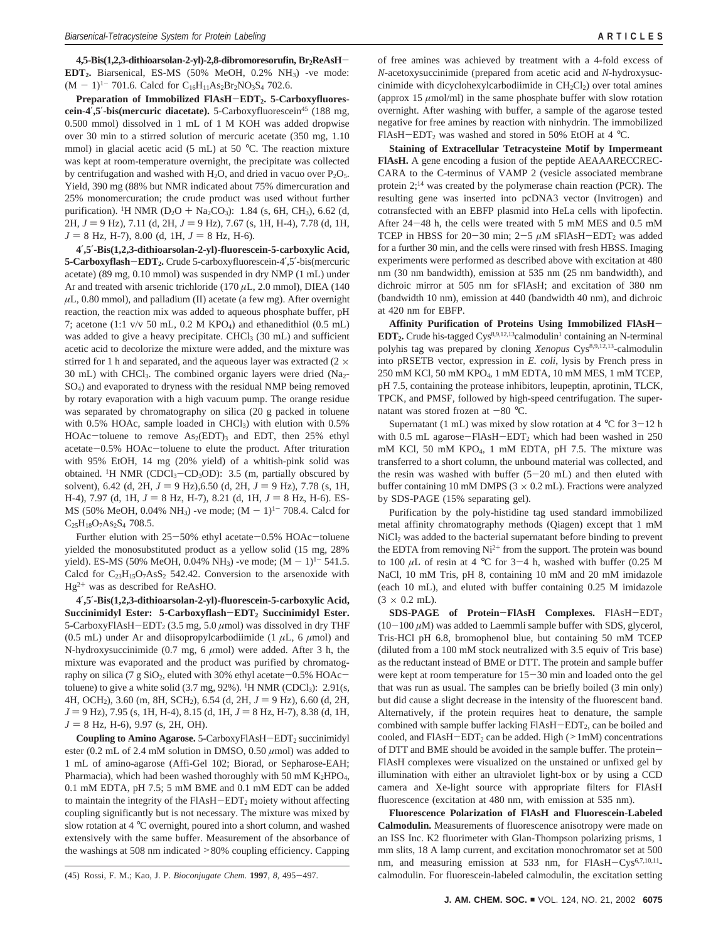**4,5-Bis(1,2,3-dithioarsolan-2-yl)-2,8-dibromoresorufin, Br2ReAsH**-**EDT2.** Biarsenical, ES-MS (50% MeOH, 0.2% NH3) -ve mode:  $(M - 1)^{1-}$  701.6. Calcd for  $C_{16}H_{11}As_2Br_2NO_3S_4$  702.6.

Preparation of Immobilized FlAsH-EDT<sub>2</sub>. 5-Carboxyfluores**cein-4',5'-bis(mercuric diacetate).** 5-Carboxyfluorescein<sup>45</sup> (188 mg, 0.500 mmol) dissolved in 1 mL of 1 M KOH was added dropwise over 30 min to a stirred solution of mercuric acetate (350 mg, 1.10 mmol) in glacial acetic acid (5 mL) at 50 °C. The reaction mixture was kept at room-temperature overnight, the precipitate was collected by centrifugation and washed with  $H_2O$ , and dried in vacuo over  $P_2O_5$ . Yield, 390 mg (88% but NMR indicated about 75% dimercuration and 25% monomercuration; the crude product was used without further purification). <sup>1</sup>H NMR (D<sub>2</sub>O + Na<sub>2</sub>CO<sub>3</sub>): 1.84 (s, 6H, CH<sub>3</sub>), 6.62 (d, 2H,  $J = 9$  Hz), 7.11 (d, 2H,  $J = 9$  Hz), 7.67 (s, 1H, H-4), 7.78 (d, 1H,  $J = 8$  Hz, H-7), 8.00 (d, 1H,  $J = 8$  Hz, H-6).

**4**′**,5**′**-Bis(1,2,3-dithioarsolan-2-yl)-fluorescein-5-carboxylic Acid, 5-Carboxyflash**-**EDT2.** Crude 5-carboxyfluorescein-4′,5′-bis(mercuric acetate) (89 mg, 0.10 mmol) was suspended in dry NMP (1 mL) under Ar and treated with arsenic trichloride (170 *µ*L, 2.0 mmol), DIEA (140  $\mu$ L, 0.80 mmol), and palladium (II) acetate (a few mg). After overnight reaction, the reaction mix was added to aqueous phosphate buffer, pH 7; acetone (1:1 v/v 50 mL, 0.2 M KPO4) and ethanedithiol (0.5 mL) was added to give a heavy precipitate. CHCl $_3$  (30 mL) and sufficient acetic acid to decolorize the mixture were added, and the mixture was stirred for 1 h and separated, and the aqueous layer was extracted ( $2 \times$ 30 mL) with CHCl<sub>3</sub>. The combined organic layers were dried (Na<sub>2</sub>-SO4) and evaporated to dryness with the residual NMP being removed by rotary evaporation with a high vacuum pump. The orange residue was separated by chromatography on silica (20 g packed in toluene with  $0.5\%$  HOAc, sample loaded in CHCl<sub>3</sub>) with elution with  $0.5\%$ HOAc-toluene to remove  $As<sub>2</sub>(EDT)<sub>3</sub>$  and EDT, then 25% ethyl acetate-0.5% HOAc-toluene to elute the product. After trituration with 95% EtOH, 14 mg (20% yield) of a whitish-pink solid was obtained. <sup>1</sup>H NMR (CDCl<sub>3</sub>-CD<sub>3</sub>OD): 3.5 (m, partially obscured by<br>solvent) 6.42 (d, 2H,  $I = 9$  Hz) 6.50 (d, 2H,  $I = 9$  Hz) 7.78 (s, 1H solvent), 6.42 (d, 2H,  $J = 9$  Hz), 6.50 (d, 2H,  $J = 9$  Hz), 7.78 (s, 1H, H-4), 7.97 (d, 1H,  $J = 8$  Hz, H-7), 8.21 (d, 1H,  $J = 8$  Hz, H-6). ES-MS (50% MeOH, 0.04% NH<sub>3</sub>) -ve mode;  $(M - 1)^{1-}$  708.4. Calcd for  $C_{25}H_{18}O_7As_2S_4$  708.5.

Further elution with 25-50% ethyl acetate-0.5% HOAc-toluene yielded the monosubstituted product as a yellow solid (15 mg, 28% yield). ES-MS (50% MeOH, 0.04% NH<sub>3</sub>) -ve mode;  $(M - 1)^{1-}$  541.5. Calcd for  $C_{23}H_{15}O_7AsS_2$  542.42. Conversion to the arsenoxide with  $Hg^{2+}$  was as described for ReAsHO.

**4**′**,5**′**-Bis(1,2,3-dithioarsolan-2-yl)-fluorescein-5-carboxylic Acid, Succinimidyl Ester: 5-Carboxyflash**-**EDT2 Succinimidyl Ester.** 5-CarboxyFlAsH-EDT<sub>2</sub> (3.5 mg, 5.0  $\mu$ mol) was dissolved in dry THF (0.5 mL) under Ar and diisopropylcarbodiimide (1  $\mu$ L, 6  $\mu$ mol) and N-hydroxysuccinimide (0.7 mg, 6 *µ*mol) were added. After 3 h, the mixture was evaporated and the product was purified by chromatography on silica (7 g SiO<sub>2</sub>, eluted with 30% ethyl acetate $-0.5\%$  HOAc $$ toluene) to give a white solid  $(3.7 \text{ mg}, 92\%)$ . <sup>1</sup>H NMR (CDCl<sub>3</sub>): 2.91(s, 4H, OCH<sub>2</sub>), 3.60 (m, 8H, SCH<sub>2</sub>), 6.54 (d, 2H,  $J = 9$  Hz), 6.60 (d, 2H, *J* = 9 Hz), 7.95 (s, 1H, H-4), 8.15 (d, 1H, *J* = 8 Hz, H-7), 8.38 (d, 1H,  $J = 8$  Hz, H-6), 9.97 (s, 2H, OH).

**Coupling to Amino Agarose.** 5-CarboxyFlAsH-EDT<sub>2</sub> succinimidyl ester (0.2 mL of 2.4 mM solution in DMSO, 0.50 *µ*mol) was added to 1 mL of amino-agarose (Affi-Gel 102; Biorad, or Sepharose-EAH; Pharmacia), which had been washed thoroughly with 50 mM K<sub>2</sub>HPO<sub>4</sub>, 0.1 mM EDTA, pH 7.5; 5 mM BME and 0.1 mM EDT can be added to maintain the integrity of the  $FIASH-EDT<sub>2</sub>$  moiety without affecting coupling significantly but is not necessary. The mixture was mixed by slow rotation at 4 °C overnight, poured into a short column, and washed extensively with the same buffer. Measurement of the absorbance of the washings at 508 nm indicated >80% coupling efficiency. Capping

of free amines was achieved by treatment with a 4-fold excess of *N*-acetoxysuccinimide (prepared from acetic acid and *N*-hydroxysuccinimide with dicyclohexylcarbodiimide in  $CH_2Cl_2$ ) over total amines (approx 15  $\mu$ mol/ml) in the same phosphate buffer with slow rotation overnight. After washing with buffer, a sample of the agarose tested negative for free amines by reaction with ninhydrin. The immobilized FlAsH-EDT<sub>2</sub> was washed and stored in 50% EtOH at 4  $^{\circ}$ C.

**Staining of Extracellular Tetracysteine Motif by Impermeant FlAsH.** A gene encoding a fusion of the peptide AEAAARECCREC-CARA to the C-terminus of VAMP 2 (vesicle associated membrane protein  $2$ ;<sup>14</sup> was created by the polymerase chain reaction (PCR). The resulting gene was inserted into pcDNA3 vector (Invitrogen) and cotransfected with an EBFP plasmid into HeLa cells with lipofectin. After 24-48 h, the cells were treated with 5 mM MES and 0.5 mM TCEP in HBSS for  $20-30$  min;  $2-5$   $\mu$ M sFlAsH-EDT<sub>2</sub> was added for a further 30 min, and the cells were rinsed with fresh HBSS. Imaging experiments were performed as described above with excitation at 480 nm (30 nm bandwidth), emission at 535 nm (25 nm bandwidth), and dichroic mirror at 505 nm for sFlAsH; and excitation of 380 nm (bandwidth 10 nm), emission at 440 (bandwidth 40 nm), and dichroic at 420 nm for EBFP.

**Affinity Purification of Proteins Using Immobilized FlAsH**-**EDT<sub>2</sub>.** Crude his-tagged Cys<sup>8,9,12,13</sup>calmodulin<sup>1</sup> containing an N-terminal polyhis tag was prepared by cloning *Xenopus* Cys8,9,12,13-calmodulin into pRSETB vector, expression in *E. coli*, lysis by French press in 250 mM KCl, 50 mM KPO4, 1 mM EDTA, 10 mM MES, 1 mM TCEP, pH 7.5, containing the protease inhibitors, leupeptin, aprotinin, TLCK, TPCK, and PMSF, followed by high-speed centrifugation. The supernatant was stored frozen at  $-80$  °C.

Supernatant (1 mL) was mixed by slow rotation at  $4 °C$  for  $3-12 h$ with 0.5 mL agarose-FlAsH-EDT<sub>2</sub> which had been washed in 250 mM KCl, 50 mM KPO4, 1 mM EDTA, pH 7.5. The mixture was transferred to a short column, the unbound material was collected, and the resin was washed with buffer  $(5-20$  mL) and then eluted with buffer containing 10 mM DMPS ( $3 \times 0.2$  mL). Fractions were analyzed by SDS-PAGE (15% separating gel).

Purification by the poly-histidine tag used standard immobilized metal affinity chromatography methods (Qiagen) except that 1 mM  $NiCl<sub>2</sub>$  was added to the bacterial supernatant before binding to prevent the EDTA from removing  $Ni^{2+}$  from the support. The protein was bound to 100  $\mu$ L of resin at 4 °C for 3-4 h, washed with buffer (0.25 M NaCl, 10 mM Tris, pH 8, containing 10 mM and 20 mM imidazole (each 10 mL), and eluted with buffer containing 0.25 M imidazole  $(3 \times 0.2 \text{ mL})$ .

**SDS-PAGE of Protein**-**FlAsH Complexes.** FlAsH-EDT2  $(10-100 \,\mu M)$  was added to Laemmli sample buffer with SDS, glycerol, Tris-HCl pH 6.8, bromophenol blue, but containing 50 mM TCEP (diluted from a 100 mM stock neutralized with 3.5 equiv of Tris base) as the reductant instead of BME or DTT. The protein and sample buffer were kept at room temperature for  $15-30$  min and loaded onto the gel that was run as usual. The samples can be briefly boiled (3 min only) but did cause a slight decrease in the intensity of the fluorescent band. Alternatively, if the protein requires heat to denature, the sample combined with sample buffer lacking FlAsH-EDT<sub>2</sub>, can be boiled and cooled, and  $FIAsH-EDT<sub>2</sub>$  can be added. High ( $>1$ mM) concentrations of DTT and BME should be avoided in the sample buffer. The protein-FlAsH complexes were visualized on the unstained or unfixed gel by illumination with either an ultraviolet light-box or by using a CCD camera and Xe-light source with appropriate filters for FlAsH fluorescence (excitation at 480 nm, with emission at 535 nm).

**Fluorescence Polarization of FlAsH and Fluorescein-Labeled Calmodulin.** Measurements of fluorescence anisotropy were made on an ISS Inc. K2 fluorimeter with Glan-Thompson polarizing prisms, 1 mm slits, 18 A lamp current, and excitation monochromator set at 500 nm, and measuring emission at 533 nm, for FlAsH-Cys<sup>6,7,10,11</sup>-(45) Rossi, F. M.; Kao, J. P. *Bioconjugate Chem.* **<sup>1997</sup>**, *<sup>8</sup>*, 495-497. calmodulin. For fluorescein-labeled calmodulin, the excitation setting